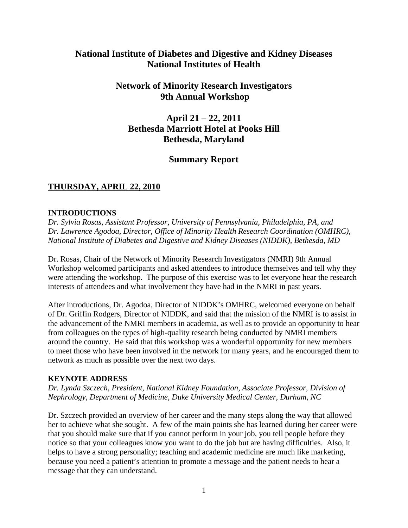# **National Institute of Diabetes and Digestive and Kidney Diseases National Institutes of Health**

# **Network of Minority Research Investigators 9th Annual Workshop**

# **April 21 – 22, 2011 Bethesda Marriott Hotel at Pooks Hill Bethesda, Maryland**

# **Summary Report**

# **THURSDAY, APRIL 22, 2010**

# **INTRODUCTIONS**

*Dr. Sylvia Rosas, Assistant Professor, University of Pennsylvania, Philadelphia, PA, and Dr. Lawrence Agodoa, Director, Office of Minority Health Research Coordination (OMHRC), National Institute of Diabetes and Digestive and Kidney Diseases (NIDDK), Bethesda, MD* 

Dr. Rosas, Chair of the Network of Minority Research Investigators (NMRI) 9th Annual Workshop welcomed participants and asked attendees to introduce themselves and tell why they were attending the workshop. The purpose of this exercise was to let everyone hear the research interests of attendees and what involvement they have had in the NMRI in past years.

After introductions, Dr. Agodoa, Director of NIDDK's OMHRC, welcomed everyone on behalf of Dr. Griffin Rodgers, Director of NIDDK, and said that the mission of the NMRI is to assist in the advancement of the NMRI members in academia, as well as to provide an opportunity to hear from colleagues on the types of high-quality research being conducted by NMRI members around the country. He said that this workshop was a wonderful opportunity for new members to meet those who have been involved in the network for many years, and he encouraged them to network as much as possible over the next two days.

# **KEYNOTE ADDRESS**

*Dr. Lynda Szczech, President, National Kidney Foundation, Associate Professor, Division of Nephrology, Department of Medicine, Duke University Medical Center, Durham, NC* 

Dr. Szczech provided an overview of her career and the many steps along the way that allowed her to achieve what she sought. A few of the main points she has learned during her career were that you should make sure that if you cannot perform in your job, you tell people before they notice so that your colleagues know you want to do the job but are having difficulties. Also, it helps to have a strong personality; teaching and academic medicine are much like marketing, because you need a patient's attention to promote a message and the patient needs to hear a message that they can understand.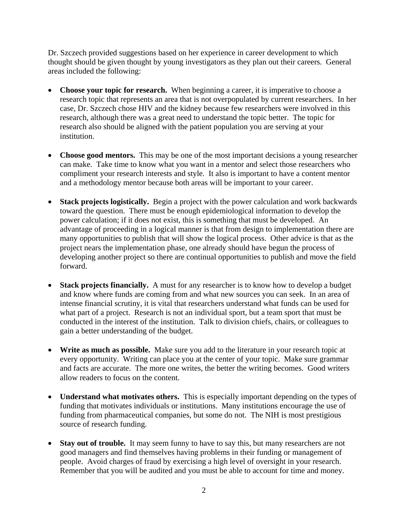Dr. Szczech provided suggestions based on her experience in career development to which thought should be given thought by young investigators as they plan out their careers. General areas included the following:

- Choose your topic for research. When beginning a career, it is imperative to choose a research topic that represents an area that is not overpopulated by current researchers. In her case, Dr. Szczech chose HIV and the kidney because few researchers were involved in this research, although there was a great need to understand the topic better. The topic for research also should be aligned with the patient population you are serving at your institution.
- Choose good mentors. This may be one of the most important decisions a young researcher can make. Take time to know what you want in a mentor and select those researchers who compliment your research interests and style. It also is important to have a content mentor and a methodology mentor because both areas will be important to your career.
- **Stack projects logistically.** Begin a project with the power calculation and work backwards toward the question. There must be enough epidemiological information to develop the power calculation; if it does not exist, this is something that must be developed. An advantage of proceeding in a logical manner is that from design to implementation there are many opportunities to publish that will show the logical process. Other advice is that as the project nears the implementation phase, one already should have begun the process of developing another project so there are continual opportunities to publish and move the field forward.
- **Stack projects financially.** A must for any researcher is to know how to develop a budget and know where funds are coming from and what new sources you can seek. In an area of intense financial scrutiny, it is vital that researchers understand what funds can be used for what part of a project. Research is not an individual sport, but a team sport that must be conducted in the interest of the institution. Talk to division chiefs, chairs, or colleagues to gain a better understanding of the budget.
- **Write as much as possible.** Make sure you add to the literature in your research topic at every opportunity. Writing can place you at the center of your topic. Make sure grammar and facts are accurate. The more one writes, the better the writing becomes. Good writers allow readers to focus on the content.
- **Understand what motivates others.** This is especially important depending on the types of funding that motivates individuals or institutions. Many institutions encourage the use of funding from pharmaceutical companies, but some do not. The NIH is most prestigious source of research funding.
- **Stay out of trouble.** It may seem funny to have to say this, but many researchers are not good managers and find themselves having problems in their funding or management of people. Avoid charges of fraud by exercising a high level of oversight in your research. Remember that you will be audited and you must be able to account for time and money.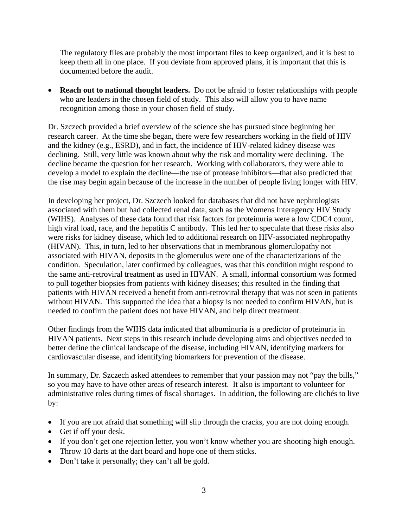The regulatory files are probably the most important files to keep organized, and it is best to keep them all in one place. If you deviate from approved plans, it is important that this is documented before the audit.

 **Reach out to national thought leaders.** Do not be afraid to foster relationships with people who are leaders in the chosen field of study. This also will allow you to have name recognition among those in your chosen field of study.

Dr. Szczech provided a brief overview of the science she has pursued since beginning her research career. At the time she began, there were few researchers working in the field of HIV and the kidney (e.g., ESRD), and in fact, the incidence of HIV-related kidney disease was declining. Still, very little was known about why the risk and mortality were declining. The decline became the question for her research. Working with collaborators, they were able to develop a model to explain the decline—the use of protease inhibitors—that also predicted that the rise may begin again because of the increase in the number of people living longer with HIV.

 high viral load, race, and the hepatitis C antibody. This led her to speculate that these risks also In developing her project, Dr. Szczech looked for databases that did not have nephrologists associated with them but had collected renal data, such as the Womens Interagency HIV Study (WIHS). Analyses of these data found that risk factors for proteinuria were a low CDC4 count, were risks for kidney disease, which led to additional research on HIV-associated nephropathy (HIVAN). This, in turn, led to her observations that in membranous glomerulopathy not associated with HIVAN, deposits in the glomerulus were one of the characterizations of the condition. Speculation, later confirmed by colleagues, was that this condition might respond to the same anti-retroviral treatment as used in HIVAN. A small, informal consortium was formed to pull together biopsies from patients with kidney diseases; this resulted in the finding that patients with HIVAN received a benefit from anti-retroviral therapy that was not seen in patients without HIVAN. This supported the idea that a biopsy is not needed to confirm HIVAN, but is needed to confirm the patient does not have HIVAN, and help direct treatment.

Other findings from the WIHS data indicated that albuminuria is a predictor of proteinuria in HIVAN patients. Next steps in this research include developing aims and objectives needed to better define the clinical landscape of the disease, including HIVAN, identifying markers for cardiovascular disease, and identifying biomarkers for prevention of the disease.

In summary, Dr. Szczech asked attendees to remember that your passion may not "pay the bills," so you may have to have other areas of research interest. It also is important to volunteer for administrative roles during times of fiscal shortages. In addition, the following are clichés to live by:

- If you are not afraid that something will slip through the cracks, you are not doing enough.
- Get if off your desk.
- If you don't get one rejection letter, you won't know whether you are shooting high enough.
- Throw 10 darts at the dart board and hope one of them sticks.
- Don't take it personally; they can't all be gold.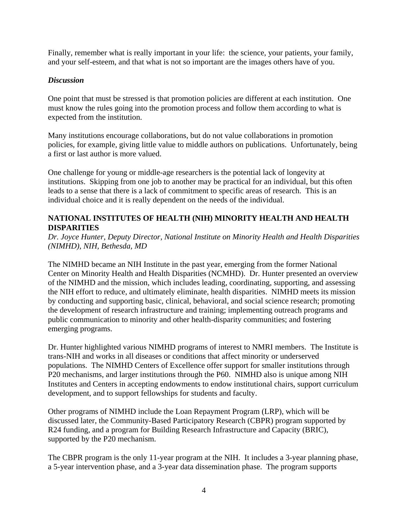Finally, remember what is really important in your life: the science, your patients, your family, and your self-esteem, and that what is not so important are the images others have of you.

### *Discussion*

One point that must be stressed is that promotion policies are different at each institution. One must know the rules going into the promotion process and follow them according to what is expected from the institution.

Many institutions encourage collaborations, but do not value collaborations in promotion policies, for example, giving little value to middle authors on publications. Unfortunately, being a first or last author is more valued.

One challenge for young or middle-age researchers is the potential lack of longevity at institutions. Skipping from one job to another may be practical for an individual, but this often leads to a sense that there is a lack of commitment to specific areas of research. This is an individual choice and it is really dependent on the needs of the individual.

### **NATIONAL INSTITUTES OF HEALTH (NIH) MINORITY HEALTH AND HEALTH DISPARITIES**

*Dr. Joyce Hunter, Deputy Director, National Institute on Minority Health and Health Disparities (NIMHD), NIH, Bethesda, MD* 

The NIMHD became an NIH Institute in the past year, emerging from the former National Center on Minority Health and Health Disparities (NCMHD). Dr. Hunter presented an overview of the NIMHD and the mission, which includes leading, coordinating, supporting, and assessing the NIH effort to reduce, and ultimately eliminate, health disparities. NIMHD meets its mission by conducting and supporting basic, clinical, behavioral, and social science research; promoting the development of research infrastructure and training; implementing outreach programs and public communication to minority and other health-disparity communities; and fostering emerging programs.

Dr. Hunter highlighted various NIMHD programs of interest to NMRI members. The Institute is trans-NIH and works in all diseases or conditions that affect minority or underserved populations. The NIMHD Centers of Excellence offer support for smaller institutions through P20 mechanisms, and larger institutions through the P60. NIMHD also is unique among NIH Institutes and Centers in accepting endowments to endow institutional chairs, support curriculum development, and to support fellowships for students and faculty.

Other programs of NIMHD include the Loan Repayment Program (LRP), which will be discussed later, the Community-Based Participatory Research (CBPR) program supported by R24 funding, and a program for Building Research Infrastructure and Capacity (BRIC), supported by the P20 mechanism.

The CBPR program is the only 11-year program at the NIH. It includes a 3-year planning phase, a 5-year intervention phase, and a 3-year data dissemination phase. The program supports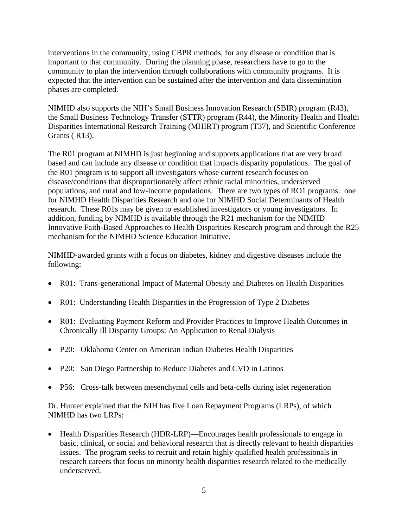interventions in the community, using CBPR methods, for any disease or condition that is important to that community. During the planning phase, researchers have to go to the community to plan the intervention through collaborations with community programs. It is expected that the intervention can be sustained after the intervention and data dissemination phases are completed.

NIMHD also supports the NIH's Small Business Innovation Research (SBIR) program (R43), the Small Business Technology Transfer (STTR) program (R44), the Minority Health and Health Disparities International Research Training (MHIRT) program (T37), and Scientific Conference Grants ( R13).

The R01 program at NIMHD is just beginning and supports applications that are very broad based and can include any disease or condition that impacts disparity populations. The goal of the R01 program is to support all investigators whose current research focuses on disease/conditions that disproportionately affect ethnic racial minorities, underserved populations, and rural and low-income populations. There are two types of RO1 programs: one for NIMHD Health Disparities Research and one for NIMHD Social Determinants of Health research. These R01s may be given to established investigators or young investigators. In addition, funding by NIMHD is available through the R21 mechanism for the NIMHD Innovative Faith-Based Approaches to Health Disparities Research program and through the R25 mechanism for the NIMHD Science Education Initiative.

NIMHD-awarded grants with a focus on diabetes, kidney and digestive diseases include the following:

- R01: Trans-generational Impact of Maternal Obesity and Diabetes on Health Disparities
- R01: Understanding Health Disparities in the Progression of Type 2 Diabetes
- R01: Evaluating Payment Reform and Provider Practices to Improve Health Outcomes in Chronically Ill Disparity Groups: An Application to Renal Dialysis
- P20: Oklahoma Center on American Indian Diabetes Health Disparities
- P20: San Diego Partnership to Reduce Diabetes and CVD in Latinos
- P56: Cross-talk between mesenchymal cells and beta-cells during islet regeneration

Dr. Hunter explained that the NIH has five Loan Repayment Programs (LRPs), of which NIMHD has two LRPs:

• Health Disparities Research (HDR-LRP)—Encourages health professionals to engage in basic, clinical, or social and behavioral research that is directly relevant to health disparities issues. The program seeks to recruit and retain highly qualified health professionals in research careers that focus on minority health disparities research related to the medically underserved.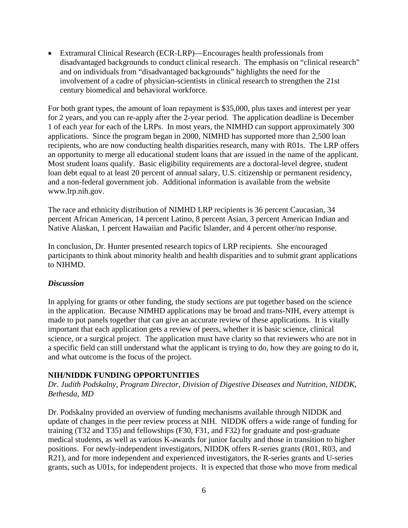Extramural Clinical Research (ECR-LRP)—Encourages health professionals from disadvantaged backgrounds to conduct clinical research. The emphasis on "clinical research" and on individuals from "disadvantaged backgrounds" highlights the need for the involvement of a cadre of physician-scientists in clinical research to strengthen the 21st century biomedical and behavioral workforce.

For both grant types, the amount of loan repayment is \$35,000, plus taxes and interest per year for 2 years, and you can re-apply after the 2-year period. The application deadline is December 1 of each year for each of the LRPs. In most years, the NIMHD can support approximately 300 applications. Since the program began in 2000, NIMHD has supported more than 2,500 loan recipients, who are now conducting health disparities research, many with R01s. The LRP offers an opportunity to merge all educational student loans that are issued in the name of the applicant. Most student loans qualify. Basic eligibility requirements are a doctoral-level degree, student loan debt equal to at least 20 percent of annual salary, U.S. citizenship or permanent residency, and a non-federal government job. Additional information is available from the website www.lrp.nih.gov.

The race and ethnicity distribution of NIMHD LRP recipients is 36 percent Caucasian, 34 percent African American, 14 percent Latino, 8 percent Asian, 3 percent American Indian and Native Alaskan, 1 percent Hawaiian and Pacific Islander, and 4 percent other/no response.

In conclusion, Dr. Hunter presented research topics of LRP recipients. She encouraged participants to think about minority health and health disparities and to submit grant applications to NIHMD.

### *Discussion*

In applying for grants or other funding, the study sections are put together based on the science in the application. Because NIMHD applications may be broad and trans-NIH, every attempt is made to put panels together that can give an accurate review of these applications. It is vitally important that each application gets a review of peers, whether it is basic science, clinical science, or a surgical project. The application must have clarity so that reviewers who are not in a specific field can still understand what the applicant is trying to do, how they are going to do it, and what outcome is the focus of the project.

### **NIH/NIDDK FUNDING OPPORTUNITIES**

*Dr. Judith Podskalny, Program Director, Division of Digestive Diseases and Nutrition, NIDDK, Bethesda, MD* 

Dr. Podskalny provided an overview of funding mechanisms available through NIDDK and update of changes in the peer review process at NIH. NIDDK offers a wide range of funding for training (T32 and T35) and fellowships (F30, F31, and F32) for graduate and post-graduate medical students, as well as various K-awards for junior faculty and those in transition to higher positions. For newly-independent investigators, NIDDK offers R-series grants (R01, R03, and R21), and for more independent and experienced investigators, the R-series grants and U-series grants, such as U01s, for independent projects. It is expected that those who move from medical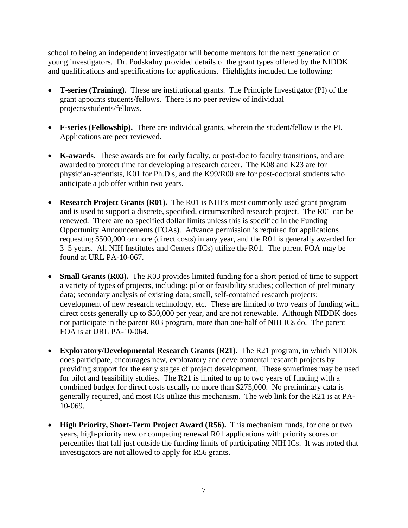school to being an independent investigator will become mentors for the next generation of young investigators. Dr. Podskalny provided details of the grant types offered by the NIDDK and qualifications and specifications for applications. Highlights included the following:

- **T-series (Training).** These are institutional grants. The Principle Investigator (PI) of the grant appoints students/fellows. There is no peer review of individual projects/students/fellows.
- **F-series (Fellowship).** There are individual grants, wherein the student/fellow is the PI. Applications are peer reviewed.
- **K-awards.** These awards are for early faculty, or post-doc to faculty transitions, and are awarded to protect time for developing a research career. The K08 and K23 are for physician-scientists, K01 for Ph.D.s, and the K99/R00 are for post-doctoral students who anticipate a job offer within two years.
- **Research Project Grants (R01).** The R01 is NIH's most commonly used grant program and is used to support a discrete, specified, circumscribed research project. The R01 can be renewed. There are no specified dollar limits unless this is specified in the Funding Opportunity Announcements (FOAs). Advance permission is required for applications requesting \$500,000 or more (direct costs) in any year, and the R01 is generally awarded for 3–5 years. All NIH Institutes and Centers (ICs) utilize the R01. The parent FOA may be found at URL PA-10-067.
- **Small Grants (R03).** The R03 provides limited funding for a short period of time to support a variety of types of projects, including: pilot or feasibility studies; collection of preliminary data; secondary analysis of existing data; small, self-contained research projects; development of new research technology, etc. These are limited to two years of funding with direct costs generally up to \$50,000 per year, and are not renewable. Although NIDDK does not participate in the parent R03 program, more than one-half of NIH ICs do. The parent FOA is at URL PA-10-064.
- **Exploratory/Developmental Research Grants (R21).** The R21 program, in which NIDDK does participate, encourages new, exploratory and developmental research projects by providing support for the early stages of project development. These sometimes may be used for pilot and feasibility studies. The R21 is limited to up to two years of funding with a combined budget for direct costs usually no more than \$275,000. No preliminary data is generally required, and most ICs utilize this mechanism. The web link for the R21 is at PA-10-069.
- **High Priority, Short-Term Project Award (R56).** This mechanism funds, for one or two years, high-priority new or competing renewal R01 applications with priority scores or percentiles that fall just outside the funding limits of participating NIH ICs. It was noted that investigators are not allowed to apply for R56 grants.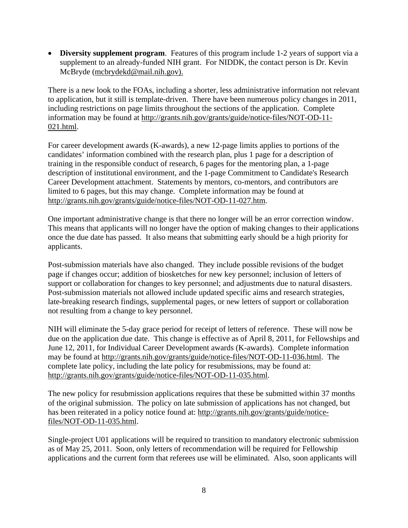**Diversity supplement program.** Features of this program include 1-2 years of support via a supplement to an already-funded NIH grant. For NIDDK, the contact person is Dr. Kevin McBryde (mcbrydekd@mail.nih.gov).

There is a new look to the FOAs, including a shorter, less administrative information not relevant to application, but it still is template-driven. There have been numerous policy changes in 2011, including restrictions on page limits throughout the sections of the application. Complete information may be found at http://grants.nih.gov/grants/guide/notice-files/NOT-OD-11 021.html.

http://grants.nih.gov/grants/guide/notice-files/NOT-OD-11-027.htm. For career development awards (K-awards), a new 12-page limits applies to portions of the candidates' information combined with the research plan, plus 1 page for a description of training in the responsible conduct of research, 6 pages for the mentoring plan, a 1-page description of institutional environment, and the 1-page Commitment to Candidate's Research Career Development attachment. Statements by mentors, co-mentors, and contributors are limited to 6 pages, but this may change. Complete information may be found at

One important administrative change is that there no longer will be an error correction window. This means that applicants will no longer have the option of making changes to their applications once the due date has passed. It also means that submitting early should be a high priority for applicants.

Post-submission materials have also changed. They include possible revisions of the budget page if changes occur; addition of biosketches for new key personnel; inclusion of letters of support or collaboration for changes to key personnel; and adjustments due to natural disasters. Post-submission materials not allowed include updated specific aims and research strategies, late-breaking research findings, supplemental pages, or new letters of support or collaboration not resulting from a change to key personnel.

NIH will eliminate the 5-day grace period for receipt of letters of reference. These will now be due on the application due date. This change is effective as of April 8, 2011, for Fellowships and June 12, 2011, for Individual Career Development awards (K-awards). Complete information may be found at http://grants.nih.gov/grants/guide/notice-files/NOT-OD-11-036.html. The complete late policy, including the late policy for resubmissions, may be found at: http://grants.nih.gov/grants/guide/notice-files/NOT-OD-11-035.html.

The new policy for resubmission applications requires that these be submitted within 37 months of the original submission. The policy on late submission of applications has not changed, but has been reiterated in a policy notice found at: http://grants.nih.gov/grants/guide/noticefiles/NOT-OD-11-035.html.

Single-project U01 applications will be required to transition to mandatory electronic submission as of May 25, 2011. Soon, only letters of recommendation will be required for Fellowship applications and the current form that referees use will be eliminated. Also, soon applicants will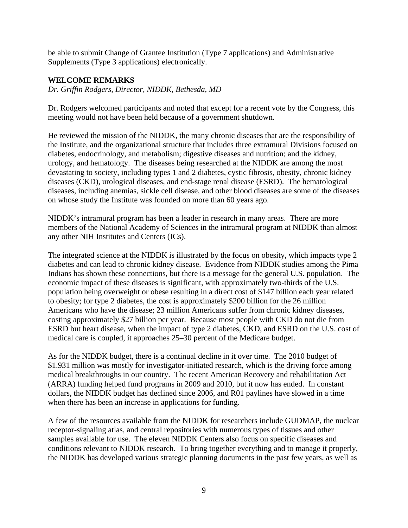be able to submit Change of Grantee Institution (Type 7 applications) and Administrative Supplements (Type 3 applications) electronically.

### **WELCOME REMARKS**

*Dr. Griffin Rodgers, Director, NIDDK, Bethesda, MD* 

Dr. Rodgers welcomed participants and noted that except for a recent vote by the Congress, this meeting would not have been held because of a government shutdown.

He reviewed the mission of the NIDDK, the many chronic diseases that are the responsibility of the Institute, and the organizational structure that includes three extramural Divisions focused on diabetes, endocrinology, and metabolism; digestive diseases and nutrition; and the kidney, urology, and hematology. The diseases being researched at the NIDDK are among the most devastating to society, including types 1 and 2 diabetes, cystic fibrosis, obesity, chronic kidney diseases (CKD), urological diseases, and end-stage renal disease (ESRD). The hematological diseases, including anemias, sickle cell disease, and other blood diseases are some of the diseases on whose study the Institute was founded on more than 60 years ago.

NIDDK's intramural program has been a leader in research in many areas. There are more members of the National Academy of Sciences in the intramural program at NIDDK than almost any other NIH Institutes and Centers (ICs).

The integrated science at the NIDDK is illustrated by the focus on obesity, which impacts type 2 diabetes and can lead to chronic kidney disease. Evidence from NIDDK studies among the Pima Indians has shown these connections, but there is a message for the general U.S. population. The economic impact of these diseases is significant, with approximately two-thirds of the U.S. population being overweight or obese resulting in a direct cost of \$147 billion each year related to obesity; for type 2 diabetes, the cost is approximately \$200 billion for the 26 million Americans who have the disease; 23 million Americans suffer from chronic kidney diseases, costing approximately \$27 billion per year. Because most people with CKD do not die from ESRD but heart disease, when the impact of type 2 diabetes, CKD, and ESRD on the U.S. cost of medical care is coupled, it approaches 25–30 percent of the Medicare budget.

As for the NIDDK budget, there is a continual decline in it over time. The 2010 budget of \$1.931 million was mostly for investigator-initiated research, which is the driving force among medical breakthroughs in our country. The recent American Recovery and rehabilitation Act (ARRA) funding helped fund programs in 2009 and 2010, but it now has ended. In constant dollars, the NIDDK budget has declined since 2006, and R01 paylines have slowed in a time when there has been an increase in applications for funding.

A few of the resources available from the NIDDK for researchers include GUDMAP, the nuclear receptor-signaling atlas, and central repositories with numerous types of tissues and other samples available for use. The eleven NIDDK Centers also focus on specific diseases and conditions relevant to NIDDK research. To bring together everything and to manage it properly, the NIDDK has developed various strategic planning documents in the past few years, as well as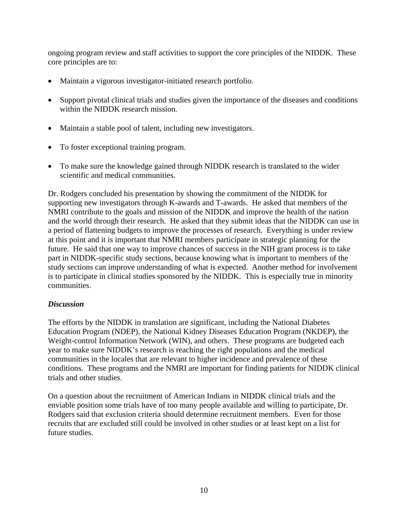ongoing program review and staff activities to support the core principles of the NIDDK. These core principles are to:

- Maintain a vigorous investigator-initiated research portfolio.
- Support pivotal clinical trials and studies given the importance of the diseases and conditions within the NIDDK research mission.
- Maintain a stable pool of talent, including new investigators.
- To foster exceptional training program.
- To make sure the knowledge gained through NIDDK research is translated to the wider scientific and medical communities.

Dr. Rodgers concluded his presentation by showing the commitment of the NIDDK for supporting new investigators through K-awards and T-awards. He asked that members of the NMRI contribute to the goals and mission of the NIDDK and improve the health of the nation and the world through their research. He asked that they submit ideas that the NIDDK can use in a period of flattening budgets to improve the processes of research. Everything is under review at this point and it is important that NMRI members participate in strategic planning for the future. He said that one way to improve chances of success in the NIH grant process is to take part in NIDDK-specific study sections, because knowing what is important to members of the study sections can improve understanding of what is expected. Another method for involvement is to participate in clinical studies sponsored by the NIDDK. This is especially true in minority communities.

# *Discussion*

The efforts by the NIDDK in translation are significant, including the National Diabetes Education Program (NDEP), the National Kidney Diseases Education Program (NKDEP), the Weight-control Information Network (WIN), and others. These programs are budgeted each year to make sure NIDDK's research is reaching the right populations and the medical communities in the locales that are relevant to higher incidence and prevalence of these conditions. These programs and the NMRI are important for finding patients for NIDDK clinical trials and other studies.

On a question about the recruitment of American Indians in NIDDK clinical trials and the enviable position some trials have of too many people available and willing to participate, Dr. Rodgers said that exclusion criteria should determine recruitment members. Even for those recruits that are excluded still could be involved in other studies or at least kept on a list for future studies.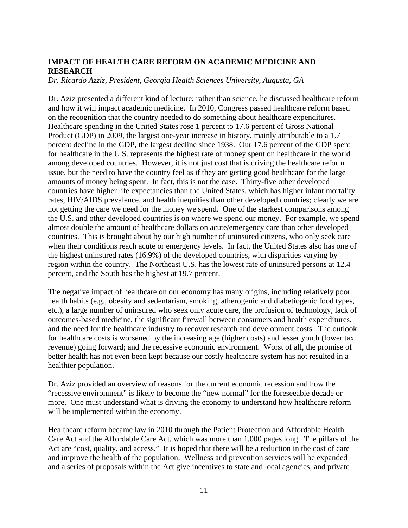# **IMPACT OF HEALTH CARE REFORM ON ACADEMIC MEDICINE AND RESEARCH**

*Dr. Ricardo Azziz, President, Georgia Health Sciences University, Augusta, GA* 

Dr. Aziz presented a different kind of lecture; rather than science, he discussed healthcare reform and how it will impact academic medicine. In 2010, Congress passed healthcare reform based on the recognition that the country needed to do something about healthcare expenditures. Healthcare spending in the United States rose 1 percent to 17.6 percent of Gross National Product (GDP) in 2009, the largest one-year increase in history, mainly attributable to a 1.7 percent decline in the GDP, the largest decline since 1938. Our 17.6 percent of the GDP spent for healthcare in the U.S. represents the highest rate of money spent on healthcare in the world among developed countries. However, it is not just cost that is driving the healthcare reform issue, but the need to have the country feel as if they are getting good healthcare for the large amounts of money being spent. In fact, this is not the case. Thirty-five other developed countries have higher life expectancies than the United States, which has higher infant mortality rates, HIV/AIDS prevalence, and health inequities than other developed countries; clearly we are not getting the care we need for the money we spend. One of the starkest comparisons among the U.S. and other developed countries is on where we spend our money. For example, we spend almost double the amount of healthcare dollars on acute/emergency care than other developed countries. This is brought about by our high number of uninsured citizens, who only seek care when their conditions reach acute or emergency levels. In fact, the United States also has one of the highest uninsured rates (16.9%) of the developed countries, with disparities varying by region within the country. The Northeast U.S. has the lowest rate of uninsured persons at 12.4 percent, and the South has the highest at 19.7 percent.

The negative impact of healthcare on our economy has many origins, including relatively poor health habits (e.g., obesity and sedentarism, smoking, atherogenic and diabetiogenic food types, etc.), a large number of uninsured who seek only acute care, the profusion of technology, lack of outcomes-based medicine, the significant firewall between consumers and health expenditures, and the need for the healthcare industry to recover research and development costs. The outlook for healthcare costs is worsened by the increasing age (higher costs) and lesser youth (lower tax revenue) going forward; and the recessive economic environment. Worst of all, the promise of better health has not even been kept because our costly healthcare system has not resulted in a healthier population.

Dr. Aziz provided an overview of reasons for the current economic recession and how the "recessive environment" is likely to become the "new normal" for the foreseeable decade or more. One must understand what is driving the economy to understand how healthcare reform will be implemented within the economy.

Healthcare reform became law in 2010 through the Patient Protection and Affordable Health Care Act and the Affordable Care Act, which was more than 1,000 pages long. The pillars of the Act are "cost, quality, and access." It is hoped that there will be a reduction in the cost of care and improve the health of the population. Wellness and prevention services will be expanded and a series of proposals within the Act give incentives to state and local agencies, and private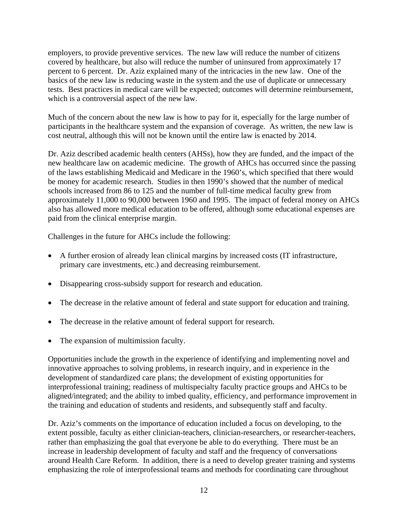employers, to provide preventive services. The new law will reduce the number of citizens covered by healthcare, but also will reduce the number of uninsured from approximately 17 percent to 6 percent. Dr. Aziz explained many of the intricacies in the new law. One of the basics of the new law is reducing waste in the system and the use of duplicate or unnecessary tests. Best practices in medical care will be expected; outcomes will determine reimbursement, which is a controversial aspect of the new law.

Much of the concern about the new law is how to pay for it, especially for the large number of participants in the healthcare system and the expansion of coverage. As written, the new law is cost neutral, although this will not be known until the entire law is enacted by 2014.

Dr. Aziz described academic health centers (AHSs), how they are funded, and the impact of the new healthcare law on academic medicine. The growth of AHCs has occurred since the passing of the laws establishing Medicaid and Medicare in the 1960's, which specified that there would be money for academic research. Studies in then 1990's showed that the number of medical schools increased from 86 to 125 and the number of full-time medical faculty grew from approximately 11,000 to 90,000 between 1960 and 1995. The impact of federal money on AHCs also has allowed more medical education to be offered, although some educational expenses are paid from the clinical enterprise margin.

Challenges in the future for AHCs include the following:

- A further erosion of already lean clinical margins by increased costs (IT infrastructure, primary care investments, etc.) and decreasing reimbursement.
- Disappearing cross-subsidy support for research and education.
- The decrease in the relative amount of federal and state support for education and training.
- The decrease in the relative amount of federal support for research.
- The expansion of multimission faculty.

Opportunities include the growth in the experience of identifying and implementing novel and innovative approaches to solving problems, in research inquiry, and in experience in the development of standardized care plans; the development of existing opportunities for interprofessional training; readiness of multispecialty faculty practice groups and AHCs to be aligned/integrated; and the ability to imbed quality, efficiency, and performance improvement in the training and education of students and residents, and subsequently staff and faculty.

Dr. Aziz's comments on the importance of education included a focus on developing, to the extent possible, faculty as either clinician-teachers, clinician-researchers, or researcher-teachers, rather than emphasizing the goal that everyone be able to do everything. There must be an increase in leadership development of faculty and staff and the frequency of conversations around Health Care Reform. In addition, there is a need to develop greater training and systems emphasizing the role of interprofessional teams and methods for coordinating care throughout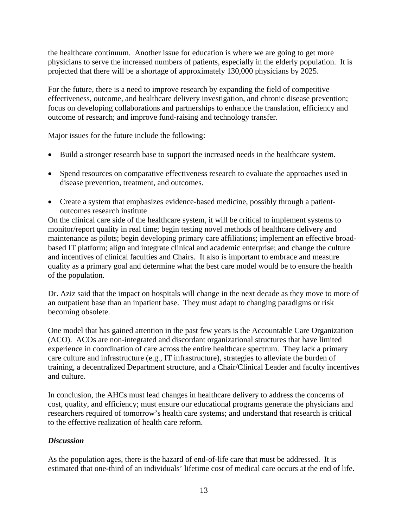the healthcare continuum. Another issue for education is where we are going to get more physicians to serve the increased numbers of patients, especially in the elderly population. It is projected that there will be a shortage of approximately 130,000 physicians by 2025.

For the future, there is a need to improve research by expanding the field of competitive effectiveness, outcome, and healthcare delivery investigation, and chronic disease prevention; focus on developing collaborations and partnerships to enhance the translation, efficiency and outcome of research; and improve fund-raising and technology transfer.

Major issues for the future include the following:

- Build a stronger research base to support the increased needs in the healthcare system.
- Spend resources on comparative effectiveness research to evaluate the approaches used in disease prevention, treatment, and outcomes.
- Create a system that emphasizes evidence-based medicine, possibly through a patientoutcomes research institute

On the clinical care side of the healthcare system, it will be critical to implement systems to monitor/report quality in real time; begin testing novel methods of healthcare delivery and maintenance as pilots; begin developing primary care affiliations; implement an effective broadbased IT platform; align and integrate clinical and academic enterprise; and change the culture and incentives of clinical faculties and Chairs. It also is important to embrace and measure quality as a primary goal and determine what the best care model would be to ensure the health of the population.

Dr. Aziz said that the impact on hospitals will change in the next decade as they move to more of an outpatient base than an inpatient base. They must adapt to changing paradigms or risk becoming obsolete.

One model that has gained attention in the past few years is the Accountable Care Organization (ACO). ACOs are non-integrated and discordant organizational structures that have limited experience in coordination of care across the entire healthcare spectrum. They lack a primary care culture and infrastructure (e.g., IT infrastructure), strategies to alleviate the burden of training, a decentralized Department structure, and a Chair/Clinical Leader and faculty incentives and culture.

In conclusion, the AHCs must lead changes in healthcare delivery to address the concerns of cost, quality, and efficiency; must ensure our educational programs generate the physicians and researchers required of tomorrow's health care systems; and understand that research is critical to the effective realization of health care reform.

# *Discussion*

As the population ages, there is the hazard of end-of-life care that must be addressed. It is estimated that one-third of an individuals' lifetime cost of medical care occurs at the end of life.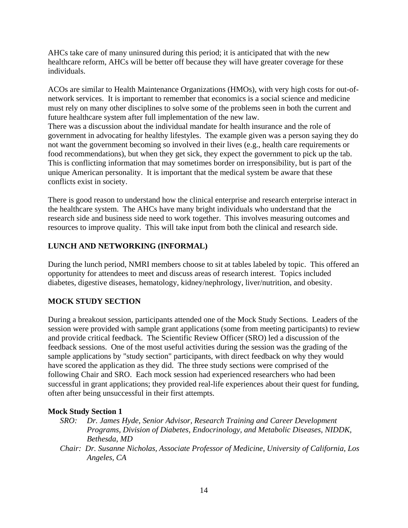AHCs take care of many uninsured during this period; it is anticipated that with the new healthcare reform, AHCs will be better off because they will have greater coverage for these individuals.

ACOs are similar to Health Maintenance Organizations (HMOs), with very high costs for out-ofnetwork services. It is important to remember that economics is a social science and medicine must rely on many other disciplines to solve some of the problems seen in both the current and future healthcare system after full implementation of the new law.

There was a discussion about the individual mandate for health insurance and the role of government in advocating for healthy lifestyles. The example given was a person saying they do not want the government becoming so involved in their lives (e.g., health care requirements or food recommendations), but when they get sick, they expect the government to pick up the tab. This is conflicting information that may sometimes border on irresponsibility, but is part of the unique American personality. It is important that the medical system be aware that these conflicts exist in society.

There is good reason to understand how the clinical enterprise and research enterprise interact in the healthcare system. The AHCs have many bright individuals who understand that the research side and business side need to work together. This involves measuring outcomes and resources to improve quality. This will take input from both the clinical and research side.

# **LUNCH AND NETWORKING (INFORMAL)**

During the lunch period, NMRI members choose to sit at tables labeled by topic. This offered an opportunity for attendees to meet and discuss areas of research interest. Topics included diabetes, digestive diseases, hematology, kidney/nephrology, liver/nutrition, and obesity.

# **MOCK STUDY SECTION**

During a breakout session, participants attended one of the Mock Study Sections. Leaders of the session were provided with sample grant applications (some from meeting participants) to review and provide critical feedback. The Scientific Review Officer (SRO) led a discussion of the feedback sessions. One of the most useful activities during the session was the grading of the sample applications by "study section" participants, with direct feedback on why they would have scored the application as they did. The three study sections were comprised of the following Chair and SRO. Each mock session had experienced researchers who had been successful in grant applications; they provided real-life experiences about their quest for funding, often after being unsuccessful in their first attempts.

### **Mock Study Section 1**

- *SRO: Dr. James Hyde, Senior Advisor, Research Training and Career Development Programs, Division of Diabetes, Endocrinology, and Metabolic Diseases, NIDDK, Bethesda, MD*
- *Chair: Dr. Susanne Nicholas, Associate Professor of Medicine, University of California, Los Angeles, CA*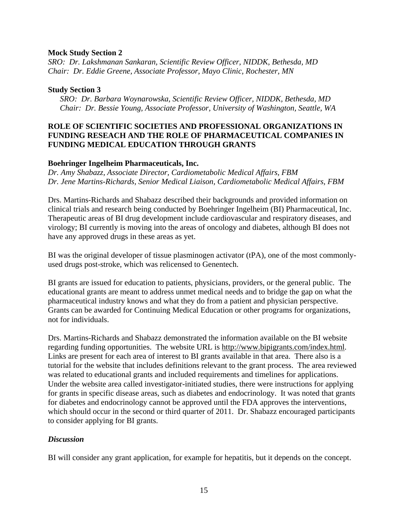### **Mock Study Section 2**

*SRO: Dr. Lakshmanan Sankaran, Scientific Review Officer, NIDDK, Bethesda, MD Chair: Dr. Eddie Greene, Associate Professor, Mayo Clinic, Rochester, MN* 

#### **Study Section 3**

*SRO: Dr. Barbara Woynarowska, Scientific Review Officer, NIDDK, Bethesda, MD Chair: Dr. Bessie Young, Associate Professor, University of Washington, Seattle, WA* 

### **ROLE OF SCIENTIFIC SOCIETIES AND PROFESSIONAL ORGANIZATIONS IN FUNDING RESEACH AND THE ROLE OF PHARMACEUTICAL COMPANIES IN FUNDING MEDICAL EDUCATION THROUGH GRANTS**

### **Boehringer Ingelheim Pharmaceuticals, Inc.**

*Dr. Amy Shabazz, Associate Director, Cardiometabolic Medical Affairs, FBM Dr. Jene Martins-Richards, Senior Medical Liaison, Cardiometabolic Medical Affairs, FBM* 

Drs. Martins-Richards and Shabazz described their backgrounds and provided information on clinical trials and research being conducted by Boehringer Ingelheim (BI) Pharmaceutical, Inc. Therapeutic areas of BI drug development include cardiovascular and respiratory diseases, and virology; BI currently is moving into the areas of oncology and diabetes, although BI does not have any approved drugs in these areas as yet.

BI was the original developer of tissue plasminogen activator (tPA), one of the most commonlyused drugs post-stroke, which was relicensed to Genentech.

BI grants are issued for education to patients, physicians, providers, or the general public. The educational grants are meant to address unmet medical needs and to bridge the gap on what the pharmaceutical industry knows and what they do from a patient and physician perspective. Grants can be awarded for Continuing Medical Education or other programs for organizations, not for individuals.

Drs. Martins-Richards and Shabazz demonstrated the information available on the BI website regarding funding opportunities. The website URL is http://www.bipigrants.com/index.html. Links are present for each area of interest to BI grants available in that area. There also is a tutorial for the website that includes definitions relevant to the grant process. The area reviewed was related to educational grants and included requirements and timelines for applications. Under the website area called investigator-initiated studies, there were instructions for applying for grants in specific disease areas, such as diabetes and endocrinology. It was noted that grants for diabetes and endocrinology cannot be approved until the FDA approves the interventions, which should occur in the second or third quarter of 2011. Dr. Shabazz encouraged participants to consider applying for BI grants.

### *Discussion*

BI will consider any grant application, for example for hepatitis, but it depends on the concept.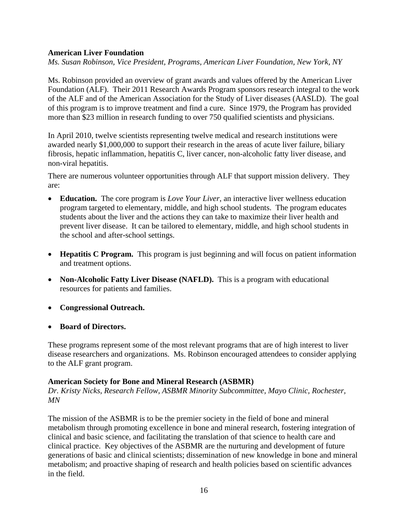### **American Liver Foundation**

*Ms. Susan Robinson, Vice President, Programs, American Liver Foundation, New York, NY* 

Ms. Robinson provided an overview of grant awards and values offered by the American Liver Foundation (ALF). Their 2011 Research Awards Program sponsors research integral to the work of the ALF and of the American Association for the Study of Liver diseases (AASLD). The goal of this program is to improve treatment and find a cure. Since 1979, the Program has provided more than \$23 million in research funding to over 750 qualified scientists and physicians.

In April 2010, twelve scientists representing twelve medical and research institutions were awarded nearly \$1,000,000 to support their research in the areas of acute liver failure, biliary fibrosis, hepatic inflammation, hepatitis C, liver cancer, non-alcoholic fatty liver disease, and non-viral hepatitis.

There are numerous volunteer opportunities through ALF that support mission delivery. They are:

- **Education.** The core program is *Love Your Liver*, an interactive liver wellness education program targeted to elementary, middle, and high school students. The program educates students about the liver and the actions they can take to maximize their liver health and prevent liver disease. It can be tailored to elementary, middle, and high school students in the school and after-school settings.
- **Hepatitis C Program.** This program is just beginning and will focus on patient information and treatment options.
- **Non-Alcoholic Fatty Liver Disease (NAFLD).** This is a program with educational resources for patients and families.
- **Congressional Outreach.**
- **Board of Directors.**

These programs represent some of the most relevant programs that are of high interest to liver disease researchers and organizations. Ms. Robinson encouraged attendees to consider applying to the ALF grant program.

### **American Society for Bone and Mineral Research (ASBMR)**

*Dr. Kristy Nicks, Research Fellow, ASBMR Minority Subcommittee, Mayo Clinic, Rochester, MN* 

The mission of the ASBMR is to be the premier society in the field of bone and mineral metabolism through promoting excellence in bone and mineral research, fostering integration of clinical and basic science, and facilitating the translation of that science to health care and clinical practice. Key objectives of the ASBMR are the nurturing and development of future generations of basic and clinical scientists; dissemination of new knowledge in bone and mineral metabolism; and proactive shaping of research and health policies based on scientific advances in the field.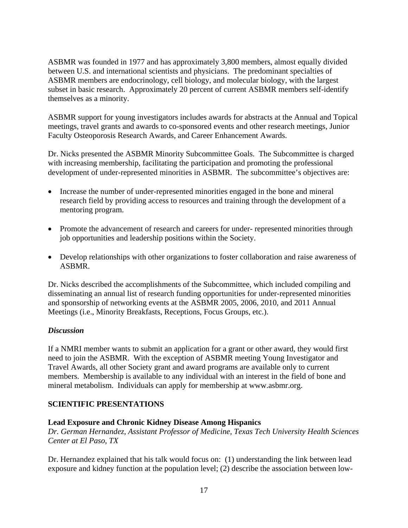ASBMR was founded in 1977 and has approximately 3,800 members, almost equally divided between U.S. and international scientists and physicians. The predominant specialties of ASBMR members are endocrinology, cell biology, and molecular biology, with the largest subset in basic research. Approximately 20 percent of current ASBMR members self-identify themselves as a minority.

ASBMR support for young investigators includes awards for abstracts at the Annual and Topical meetings, travel grants and awards to co-sponsored events and other research meetings, Junior Faculty Osteoporosis Research Awards, and Career Enhancement Awards.

Dr. Nicks presented the ASBMR Minority Subcommittee Goals. The Subcommittee is charged with increasing membership, facilitating the participation and promoting the professional development of under-represented minorities in ASBMR. The subcommittee's objectives are:

- Increase the number of under-represented minorities engaged in the bone and mineral research field by providing access to resources and training through the development of a mentoring program.
- Promote the advancement of research and careers for under- represented minorities through job opportunities and leadership positions within the Society.
- Develop relationships with other organizations to foster collaboration and raise awareness of ASBMR.

Dr. Nicks described the accomplishments of the Subcommittee, which included compiling and disseminating an annual list of research funding opportunities for under-represented minorities and sponsorship of networking events at the ASBMR 2005, 2006, 2010, and 2011 Annual Meetings (i.e., Minority Breakfasts, Receptions, Focus Groups, etc.).

# *Discussion*

If a NMRI member wants to submit an application for a grant or other award, they would first need to join the ASBMR. With the exception of ASBMR meeting Young Investigator and Travel Awards, all other Society grant and award programs are available only to current members. Membership is available to any individual with an interest in the field of bone and mineral metabolism. Individuals can apply for membership at www.asbmr.org.

### **SCIENTIFIC PRESENTATIONS**

### **Lead Exposure and Chronic Kidney Disease Among Hispanics**

*Dr. German Hernandez, Assistant Professor of Medicine, Texas Tech University Health Sciences Center at El Paso, TX* 

Dr. Hernandez explained that his talk would focus on: (1) understanding the link between lead exposure and kidney function at the population level; (2) describe the association between low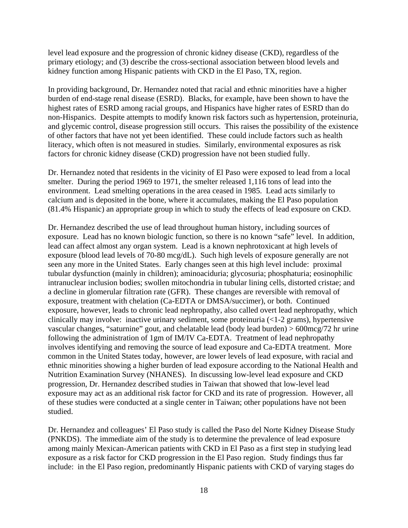level lead exposure and the progression of chronic kidney disease (CKD), regardless of the primary etiology; and (3) describe the cross-sectional association between blood levels and kidney function among Hispanic patients with CKD in the El Paso, TX, region.

In providing background, Dr. Hernandez noted that racial and ethnic minorities have a higher burden of end-stage renal disease (ESRD). Blacks, for example, have been shown to have the highest rates of ESRD among racial groups, and Hispanics have higher rates of ESRD than do non-Hispanics. Despite attempts to modify known risk factors such as hypertension, proteinuria, and glycemic control, disease progression still occurs. This raises the possibility of the existence of other factors that have not yet been identified. These could include factors such as health literacy, which often is not measured in studies. Similarly, environmental exposures as risk factors for chronic kidney disease (CKD) progression have not been studied fully.

Dr. Hernandez noted that residents in the vicinity of El Paso were exposed to lead from a local smelter. During the period 1969 to 1971, the smelter released 1,116 tons of lead into the environment. Lead smelting operations in the area ceased in 1985. Lead acts similarly to calcium and is deposited in the bone, where it accumulates, making the El Paso population (81.4% Hispanic) an appropriate group in which to study the effects of lead exposure on CKD.

Dr. Hernandez described the use of lead throughout human history, including sources of exposure. Lead has no known biologic function, so there is no known "safe" level. In addition, lead can affect almost any organ system. Lead is a known nephrotoxicant at high levels of exposure (blood lead levels of 70-80 mcg/dL). Such high levels of exposure generally are not seen any more in the United States. Early changes seen at this high level include: proximal tubular dysfunction (mainly in children); aminoaciduria; glycosuria; phosphaturia; eosinophilic intranuclear inclusion bodies; swollen mitochondria in tubular lining cells, distorted cristae; and a decline in glomerular filtration rate (GFR). These changes are reversible with removal of exposure, treatment with chelation (Ca-EDTA or DMSA/succimer), or both. Continued exposure, however, leads to chronic lead nephropathy, also called overt lead nephropathy, which clinically may involve: inactive urinary sediment, some proteinuria (<1-2 grams), hypertensive vascular changes, "saturnine" gout, and chelatable lead (body lead burden) > 600mcg/72 hr urine following the administration of 1gm of IM/IV Ca-EDTA. Treatment of lead nephropathy involves identifying and removing the source of lead exposure and Ca-EDTA treatment. More common in the United States today, however, are lower levels of lead exposure, with racial and ethnic minorities showing a higher burden of lead exposure according to the National Health and Nutrition Examination Survey (NHANES). In discussing low-level lead exposure and CKD progression, Dr. Hernandez described studies in Taiwan that showed that low-level lead exposure may act as an additional risk factor for CKD and its rate of progression. However, all of these studies were conducted at a single center in Taiwan; other populations have not been studied.

Dr. Hernandez and colleagues' El Paso study is called the Paso del Norte Kidney Disease Study (PNKDS). The immediate aim of the study is to determine the prevalence of lead exposure among mainly Mexican-American patients with CKD in El Paso as a first step in studying lead exposure as a risk factor for CKD progression in the El Paso region. Study findings thus far include: in the El Paso region, predominantly Hispanic patients with CKD of varying stages do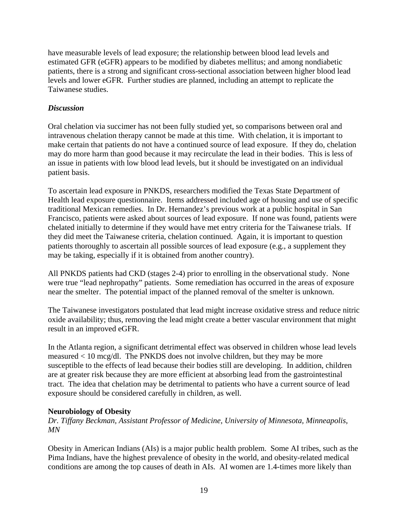have measurable levels of lead exposure; the relationship between blood lead levels and estimated GFR (eGFR) appears to be modified by diabetes mellitus; and among nondiabetic patients, there is a strong and significant cross-sectional association between higher blood lead levels and lower eGFR. Further studies are planned, including an attempt to replicate the Taiwanese studies.

### *Discussion*

Oral chelation via succimer has not been fully studied yet, so comparisons between oral and intravenous chelation therapy cannot be made at this time. With chelation, it is important to make certain that patients do not have a continued source of lead exposure. If they do, chelation may do more harm than good because it may recirculate the lead in their bodies. This is less of an issue in patients with low blood lead levels, but it should be investigated on an individual patient basis.

To ascertain lead exposure in PNKDS, researchers modified the Texas State Department of Health lead exposure questionnaire. Items addressed included age of housing and use of specific traditional Mexican remedies. In Dr. Hernandez's previous work at a public hospital in San Francisco, patients were asked about sources of lead exposure. If none was found, patients were chelated initially to determine if they would have met entry criteria for the Taiwanese trials. If they did meet the Taiwanese criteria, chelation continued. Again, it is important to question patients thoroughly to ascertain all possible sources of lead exposure (e.g., a supplement they may be taking, especially if it is obtained from another country).

All PNKDS patients had CKD (stages 2-4) prior to enrolling in the observational study. None were true "lead nephropathy" patients. Some remediation has occurred in the areas of exposure near the smelter. The potential impact of the planned removal of the smelter is unknown.

The Taiwanese investigators postulated that lead might increase oxidative stress and reduce nitric oxide availability; thus, removing the lead might create a better vascular environment that might result in an improved eGFR.

In the Atlanta region, a significant detrimental effect was observed in children whose lead levels measured < 10 mcg/dl. The PNKDS does not involve children, but they may be more susceptible to the effects of lead because their bodies still are developing. In addition, children are at greater risk because they are more efficient at absorbing lead from the gastrointestinal tract. The idea that chelation may be detrimental to patients who have a current source of lead exposure should be considered carefully in children, as well.

### **Neurobiology of Obesity**

*Dr. Tiffany Beckman, Assistant Professor of Medicine, University of Minnesota, Minneapolis, MN* 

Obesity in American Indians (AIs) is a major public health problem. Some AI tribes, such as the Pima Indians, have the highest prevalence of obesity in the world, and obesity-related medical conditions are among the top causes of death in AIs. AI women are 1.4-times more likely than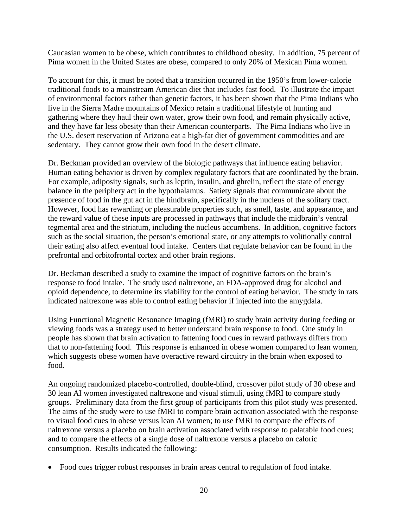Caucasian women to be obese, which contributes to childhood obesity. In addition, 75 percent of Pima women in the United States are obese, compared to only 20% of Mexican Pima women.

To account for this, it must be noted that a transition occurred in the 1950's from lower-calorie traditional foods to a mainstream American diet that includes fast food. To illustrate the impact of environmental factors rather than genetic factors, it has been shown that the Pima Indians who live in the Sierra Madre mountains of Mexico retain a traditional lifestyle of hunting and gathering where they haul their own water, grow their own food, and remain physically active, and they have far less obesity than their American counterparts. The Pima Indians who live in the U.S. desert reservation of Arizona eat a high-fat diet of government commodities and are sedentary. They cannot grow their own food in the desert climate.

Dr. Beckman provided an overview of the biologic pathways that influence eating behavior. Human eating behavior is driven by complex regulatory factors that are coordinated by the brain. For example, adiposity signals, such as leptin, insulin, and ghrelin, reflect the state of energy balance in the periphery act in the hypothalamus. Satiety signals that communicate about the presence of food in the gut act in the hindbrain, specifically in the nucleus of the solitary tract. However, food has rewarding or pleasurable properties such, as smell, taste, and appearance, and the reward value of these inputs are processed in pathways that include the midbrain's ventral tegmental area and the striatum, including the nucleus accumbens. In addition, cognitive factors such as the social situation, the person's emotional state, or any attempts to volitionally control their eating also affect eventual food intake. Centers that regulate behavior can be found in the prefrontal and orbitofrontal cortex and other brain regions.

Dr. Beckman described a study to examine the impact of cognitive factors on the brain's response to food intake. The study used naltrexone, an FDA-approved drug for alcohol and opioid dependence, to determine its viability for the control of eating behavior. The study in rats indicated naltrexone was able to control eating behavior if injected into the amygdala.

Using Functional Magnetic Resonance Imaging (fMRI) to study brain activity during feeding or viewing foods was a strategy used to better understand brain response to food. One study in people has shown that brain activation to fattening food cues in reward pathways differs from that to non-fattening food. This response is enhanced in obese women compared to lean women, which suggests obese women have overactive reward circuitry in the brain when exposed to food.

An ongoing randomized placebo-controlled, double-blind, crossover pilot study of 30 obese and 30 lean AI women investigated naltrexone and visual stimuli, using fMRI to compare study groups. Preliminary data from the first group of participants from this pilot study was presented. The aims of the study were to use fMRI to compare brain activation associated with the response to visual food cues in obese versus lean AI women; to use fMRI to compare the effects of naltrexone versus a placebo on brain activation associated with response to palatable food cues; and to compare the effects of a single dose of naltrexone versus a placebo on caloric consumption. Results indicated the following:

Food cues trigger robust responses in brain areas central to regulation of food intake.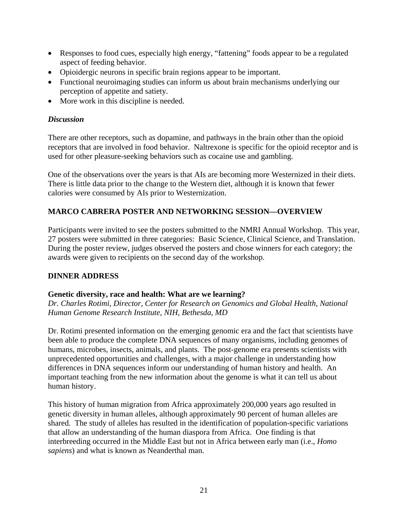- Responses to food cues, especially high energy, "fattening" foods appear to be a regulated aspect of feeding behavior.
- Opioidergic neurons in specific brain regions appear to be important.
- Functional neuroimaging studies can inform us about brain mechanisms underlying our perception of appetite and satiety.
- More work in this discipline is needed.

# *Discussion*

There are other receptors, such as dopamine, and pathways in the brain other than the opioid receptors that are involved in food behavior. Naltrexone is specific for the opioid receptor and is used for other pleasure-seeking behaviors such as cocaine use and gambling.

One of the observations over the years is that AIs are becoming more Westernized in their diets. There is little data prior to the change to the Western diet, although it is known that fewer calories were consumed by AIs prior to Westernization.

# **MARCO CABRERA POSTER AND NETWORKING SESSION—OVERVIEW**

Participants were invited to see the posters submitted to the NMRI Annual Workshop. This year, 27 posters were submitted in three categories: Basic Science, Clinical Science, and Translation. During the poster review, judges observed the posters and chose winners for each category; the awards were given to recipients on the second day of the workshop.

# **DINNER ADDRESS**

# **Genetic diversity, race and health: What are we learning?**

*Dr. Charles Rotimi, Director, Center for Research on Genomics and Global Health, National Human Genome Research Institute, NIH, Bethesda, MD* 

Dr. Rotimi presented information on the emerging genomic era and the fact that scientists have been able to produce the complete DNA sequences of many organisms, including genomes of humans, microbes, insects, animals, and plants. The post-genome era presents scientists with unprecedented opportunities and challenges, with a major challenge in understanding how differences in DNA sequences inform our understanding of human history and health. An important teaching from the new information about the genome is what it can tell us about human history.

This history of human migration from Africa approximately 200,000 years ago resulted in genetic diversity in human alleles, although approximately 90 percent of human alleles are shared. The study of alleles has resulted in the identification of population-specific variations that allow an understanding of the human diaspora from Africa. One finding is that interbreeding occurred in the Middle East but not in Africa between early man (i.e., *Homo sapiens*) and what is known as Neanderthal man.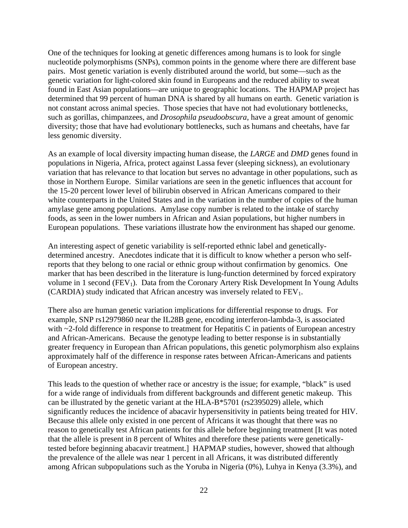One of the techniques for looking at genetic differences among humans is to look for single nucleotide polymorphisms (SNPs), common points in the genome where there are different base pairs. Most genetic variation is evenly distributed around the world, but some—such as the genetic variation for light-colored skin found in Europeans and the reduced ability to sweat found in East Asian populations—are unique to geographic locations. The HAPMAP project has determined that 99 percent of human DNA is shared by all humans on earth. Genetic variation is not constant across animal species. Those species that have not had evolutionary bottlenecks, such as gorillas, chimpanzees, and *Drosophila pseudoobscura*, have a great amount of genomic diversity; those that have had evolutionary bottlenecks, such as humans and cheetahs, have far less genomic diversity.

As an example of local diversity impacting human disease, the *LARGE* and *DMD* genes found in populations in Nigeria, Africa, protect against Lassa fever (sleeping sickness), an evolutionary variation that has relevance to that location but serves no advantage in other populations, such as those in Northern Europe. Similar variations are seen in the genetic influences that account for the 15-20 percent lower level of bilirubin observed in African Americans compared to their white counterparts in the United States and in the variation in the number of copies of the human amylase gene among populations. Amylase copy number is related to the intake of starchy foods, as seen in the lower numbers in African and Asian populations, but higher numbers in European populations. These variations illustrate how the environment has shaped our genome.

An interesting aspect of genetic variability is self-reported ethnic label and geneticallydetermined ancestry. Anecdotes indicate that it is difficult to know whether a person who selfreports that they belong to one racial or ethnic group without confirmation by genomics. One marker that has been described in the literature is lung-function determined by forced expiratory volume in 1 second ( $FEV<sub>1</sub>$ ). Data from the Coronary Artery Risk Development In Young Adults (CARDIA) study indicated that African ancestry was inversely related to  $FEV<sub>1</sub>$ .

There also are human genetic variation implications for differential response to drugs. For example, SNP rs12979860 near the IL28B gene, encoding interferon-lambda-3, is associated with ~2-fold difference in response to treatment for Hepatitis C in patients of European ancestry and African-Americans. Because the genotype leading to better response is in substantially greater frequency in European than African populations, this genetic polymorphism also explains approximately half of the difference in response rates between African-Americans and patients of European ancestry.

This leads to the question of whether race or ancestry is the issue; for example, "black" is used for a wide range of individuals from different backgrounds and different genetic makeup. This can be illustrated by the genetic variant at the HLA-B\*5701 (rs2395029) allele, which significantly reduces the incidence of abacavir hypersensitivity in patients being treated for HIV. Because this allele only existed in one percent of Africans it was thought that there was no reason to genetically test African patients for this allele before beginning treatment [It was noted that the allele is present in 8 percent of Whites and therefore these patients were geneticallytested before beginning abacavir treatment.] HAPMAP studies, however, showed that although the prevalence of the allele was near 1 percent in all Africans, it was distributed differently among African subpopulations such as the Yoruba in Nigeria (0%), Luhya in Kenya (3.3%), and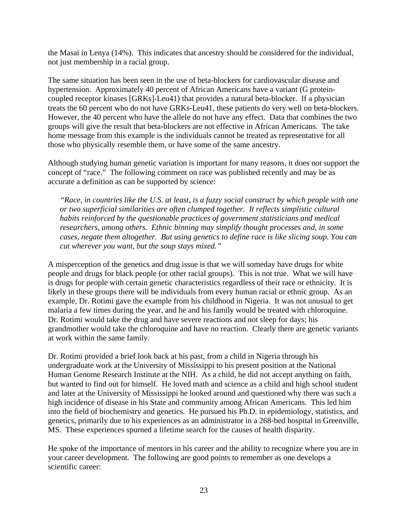the Masai in Lenya (14%). This indicates that ancestry should be considered for the individual, not just membership in a racial group.

The same situation has been seen in the use of beta-blockers for cardiovascular disease and hypertension. Approximately 40 percent of African Americans have a variant (G proteincoupled receptor kinases [GRKs]-Leu41) that provides a natural beta-blocker. If a physician treats the 60 percent who do not have GRKs-Leu41, these patients do very well on beta-blockers. However, the 40 percent who have the allele do not have any effect. Data that combines the two groups will give the result that beta-blockers are not effective in African Americans. The take home message from this example is the individuals cannot be treated as representative for all those who physically resemble them, or have some of the same ancestry.

Although studying human genetic variation is important for many reasons, it does not support the concept of "race." The following comment on race was published recently and may be as accurate a definition as can be supported by science:

*"Race, in countries like the U.S. at least, is a fuzzy social construct by which people with one or two superficial similarities are often clumped together. It reflects simplistic cultural habits reinforced by the questionable practices of government statisticians and medical researchers, among others. Ethnic binning may simplify thought processes and, in some cases, negate them altogether. But using genetics to define race is like slicing soup. You can cut wherever you want, but the soup stays mixed."* 

A misperception of the genetics and drug issue is that we will someday have drugs for white people and drugs for black people (or other racial groups). This is not true. What we will have is drugs for people with certain genetic characteristics regardless of their race or ethnicity. It is likely in these groups there will be individuals from every human racial or ethnic group. As an example, Dr. Rotimi gave the example from his childhood in Nigeria. It was not unusual to get malaria a few times during the year, and he and his family would be treated with chloroquine. Dr. Rotimi would take the drug and have severe reactions and not sleep for days; his grandmother would take the chloroquine and have no reaction. Clearly there are genetic variants at work within the same family.

Dr. Rotimi provided a brief look back at his past, from a child in Nigeria through his undergraduate work at the University of Mississippi to his present position at the National Human Genome Research Institute at the NIH. As a child, he did not accept anything on faith, but wanted to find out for himself. He loved math and science as a child and high school student and later at the University of Mississippi he looked around and questioned why there was such a high incidence of disease in his State and community among African Americans. This led him into the field of biochemistry and genetics. He pursued his Ph.D. in epidemiology, statistics, and genetics, primarily due to his experiences as an administrator in a 268-bed hospital in Greenville, MS. These experiences spurned a lifetime search for the causes of health disparity.

He spoke of the importance of mentors in his career and the ability to recognize where you are in your career development. The following are good points to remember as one develops a scientific career: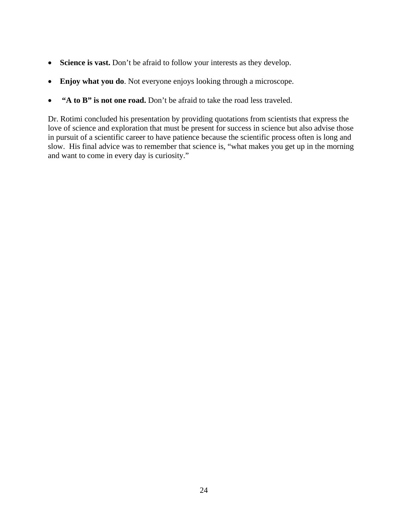- **Science is vast.** Don't be afraid to follow your interests as they develop.
- **Enjoy what you do**. Not everyone enjoys looking through a microscope.
- **"A to B" is not one road.** Don't be afraid to take the road less traveled.

Dr. Rotimi concluded his presentation by providing quotations from scientists that express the love of science and exploration that must be present for success in science but also advise those in pursuit of a scientific career to have patience because the scientific process often is long and slow. His final advice was to remember that science is, "what makes you get up in the morning and want to come in every day is curiosity."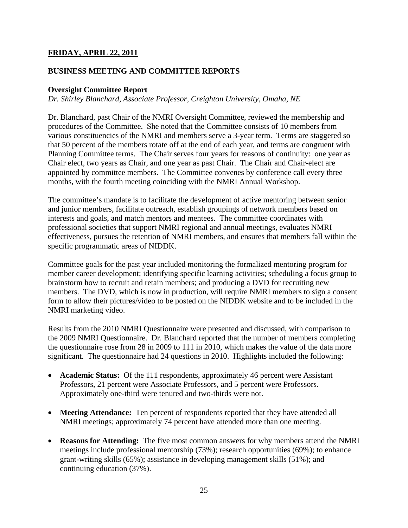# **FRIDAY, APRIL 22, 2011**

### **BUSINESS MEETING AND COMMITTEE REPORTS**

### **Oversight Committee Report**

*Dr. Shirley Blanchard, Associate Professor, Creighton University, Omaha, NE* 

Dr. Blanchard, past Chair of the NMRI Oversight Committee, reviewed the membership and procedures of the Committee. She noted that the Committee consists of 10 members from various constituencies of the NMRI and members serve a 3-year term. Terms are staggered so that 50 percent of the members rotate off at the end of each year, and terms are congruent with Planning Committee terms. The Chair serves four years for reasons of continuity: one year as Chair elect, two years as Chair, and one year as past Chair. The Chair and Chair-elect are appointed by committee members. The Committee convenes by conference call every three months, with the fourth meeting coinciding with the NMRI Annual Workshop.

The committee's mandate is to facilitate the development of active mentoring between senior and junior members, facilitate outreach, establish groupings of network members based on interests and goals, and match mentors and mentees. The committee coordinates with professional societies that support NMRI regional and annual meetings, evaluates NMRI effectiveness, pursues the retention of NMRI members, and ensures that members fall within the specific programmatic areas of NIDDK.

Committee goals for the past year included monitoring the formalized mentoring program for member career development; identifying specific learning activities; scheduling a focus group to brainstorm how to recruit and retain members; and producing a DVD for recruiting new members. The DVD, which is now in production, will require NMRI members to sign a consent form to allow their pictures/video to be posted on the NIDDK website and to be included in the NMRI marketing video.

Results from the 2010 NMRI Questionnaire were presented and discussed, with comparison to the 2009 NMRI Questionnaire. Dr. Blanchard reported that the number of members completing the questionnaire rose from 28 in 2009 to 111 in 2010, which makes the value of the data more significant. The questionnaire had 24 questions in 2010. Highlights included the following:

- **Academic Status:** Of the 111 respondents, approximately 46 percent were Assistant Professors, 21 percent were Associate Professors, and 5 percent were Professors. Approximately one-third were tenured and two-thirds were not.
- **Meeting Attendance:** Ten percent of respondents reported that they have attended all NMRI meetings; approximately 74 percent have attended more than one meeting.
- **Reasons for Attending:** The five most common answers for why members attend the NMRI meetings include professional mentorship (73%); research opportunities (69%); to enhance grant-writing skills (65%); assistance in developing management skills (51%); and continuing education (37%).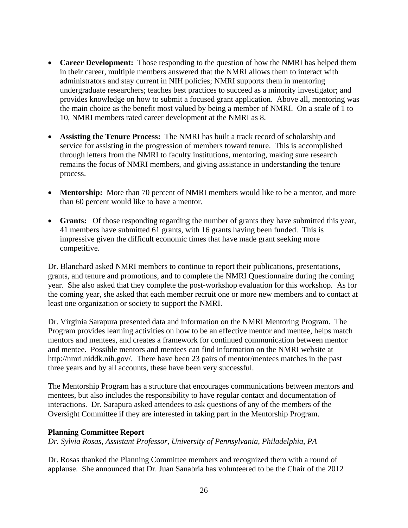- **Career Development:** Those responding to the question of how the NMRI has helped them in their career, multiple members answered that the NMRI allows them to interact with administrators and stay current in NIH policies; NMRI supports them in mentoring undergraduate researchers; teaches best practices to succeed as a minority investigator; and provides knowledge on how to submit a focused grant application. Above all, mentoring was the main choice as the benefit most valued by being a member of NMRI. On a scale of 1 to 10, NMRI members rated career development at the NMRI as 8.
- **Assisting the Tenure Process:** The NMRI has built a track record of scholarship and service for assisting in the progression of members toward tenure. This is accomplished through letters from the NMRI to faculty institutions, mentoring, making sure research remains the focus of NMRI members, and giving assistance in understanding the tenure process.
- Mentorship: More than 70 percent of NMRI members would like to be a mentor, and more than 60 percent would like to have a mentor.
- **Grants:** Of those responding regarding the number of grants they have submitted this year, 41 members have submitted 61 grants, with 16 grants having been funded. This is impressive given the difficult economic times that have made grant seeking more competitive.

Dr. Blanchard asked NMRI members to continue to report their publications, presentations, grants, and tenure and promotions, and to complete the NMRI Questionnaire during the coming year. She also asked that they complete the post-workshop evaluation for this workshop. As for the coming year, she asked that each member recruit one or more new members and to contact at least one organization or society to support the NMRI.

Dr. Virginia Sarapura presented data and information on the NMRI Mentoring Program. The Program provides learning activities on how to be an effective mentor and mentee, helps match mentors and mentees, and creates a framework for continued communication between mentor and mentee. Possible mentors and mentees can find information on the NMRI website at http://nmri.niddk.nih.gov/. There have been 23 pairs of mentor/mentees matches in the past three years and by all accounts, these have been very successful.

The Mentorship Program has a structure that encourages communications between mentors and mentees, but also includes the responsibility to have regular contact and documentation of interactions. Dr. Sarapura asked attendees to ask questions of any of the members of the Oversight Committee if they are interested in taking part in the Mentorship Program.

### **Planning Committee Report**

*Dr. Sylvia Rosas, Assistant Professor, University of Pennsylvania, Philadelphia, PA* 

Dr. Rosas thanked the Planning Committee members and recognized them with a round of applause. She announced that Dr. Juan Sanabria has volunteered to be the Chair of the 2012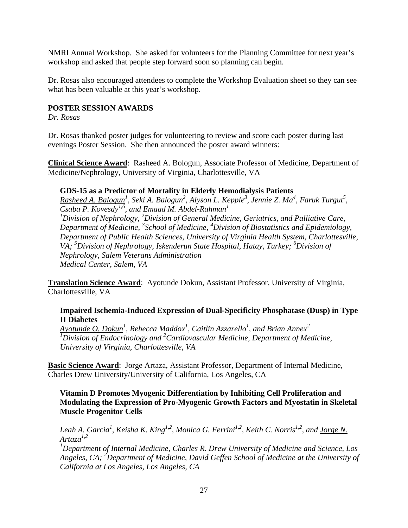NMRI Annual Workshop. She asked for volunteers for the Planning Committee for next year's workshop and asked that people step forward soon so planning can begin.

Dr. Rosas also encouraged attendees to complete the Workshop Evaluation sheet so they can see what has been valuable at this year's workshop.

### **POSTER SESSION AWARDS**

*Dr. Rosas* 

Dr. Rosas thanked poster judges for volunteering to review and score each poster during last evenings Poster Session. She then announced the poster award winners:

**Clinical Science Award**: Rasheed A. Bologun, Associate Professor of Medicine, Department of Medicine/Nephrology, University of Virginia, Charlottesville, VA

### **GDS-15 as a Predictor of Mortality in Elderly Hemodialysis Patients**

*Rasheed A. Balogun<sup>1</sup>, Seki A. Balogun<sup>2</sup>, Alyson L. Kepple<sup>3</sup>, Jennie Z. Ma<sup>4</sup>, Faruk Turgut<sup>5</sup>, Csaba P. Kovesdy1,6, and Emaad M. Abdel-Rahman1*  <sup>1</sup> Division of Nephrology, <sup>2</sup> Division of General Medicine, Geriatrics, and Palliative Care, *Department of Medicine, <sup>3</sup> School of Medicine, <sup>4</sup> Division of Biostatistics and Epidemiology, Department of Public Health Sciences, University of Virginia Health System, Charlottesville,*  VA; <sup>5</sup>Division of Nephrology, Iskenderun State Hospital, Hatay, Turkey; <sup>6</sup>Division of *Nephrology, Salem Veterans Administration Medical Center, Salem, VA* 

**Translation Science Award**: Ayotunde Dokun, Assistant Professor, University of Virginia, Charlottesville, VA

### **Impaired Ischemia-Induced Expression of Dual-Specificity Phosphatase (Dusp) in Type II Diabetes**

*Ayotunde O. Dokun1 , Rebecca Maddox<sup>1</sup> , Caitlin Azzarello1 , and Brian Annex<sup>2</sup> 1 Division of Endocrinology and <sup>2</sup> Cardiovascular Medicine, Department of Medicine, University of Virginia, Charlottesville, VA* 

**Basic Science Award**: Jorge Artaza, Assistant Professor, Department of Internal Medicine, Charles Drew University/University of California, Los Angeles, CA

### **Vitamin D Promotes Myogenic Differentiation by Inhibiting Cell Proliferation and Modulating the Expression of Pro-Myogenic Growth Factors and Myostatin in Skeletal Muscle Progenitor Cells**

Leah A. Garcia<sup>1</sup>, Keisha K. King<sup>1,2</sup>, Monica G. Ferrini<sup>1,2</sup>, Keith C. Norris<sup>1,2</sup>, and <u>Jorge N.</u> *Artaza1,2* 

*1 Department of Internal Medicine, Charles R. Drew University of Medicine and Science, Los*  Angeles, CA; <sup>2</sup>Department of Medicine, David Geffen School of Medicine at the University of *California at Los Angeles, Los Angeles, CA*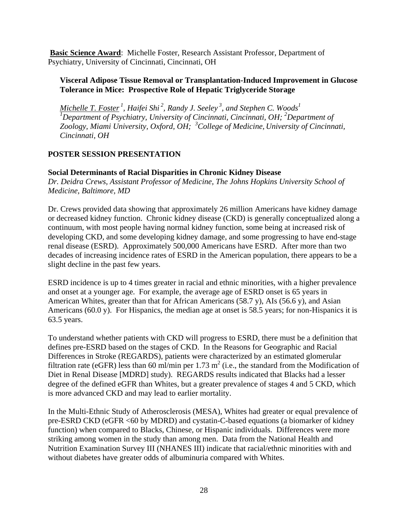**Basic Science Award**: Michelle Foster, Research Assistant Professor, Department of Psychiatry, University of Cincinnati, Cincinnati, OH

### **Visceral Adipose Tissue Removal or Transplantation-Induced Improvement in Glucose Tolerance in Mice: Prospective Role of Hepatic Triglyceride Storage**

*Michelle T. Foster<sup>1</sup>, Haifei Shi<sup>2</sup>, Randy J. Seeley<sup>3</sup>, and Stephen C. Woods<sup>1</sup>* <sup>1</sup>Department of Psychiatry, University of Cincinnati, Cincinnati, OH; <sup>2</sup>Department of *Zoology, Miami University, Oxford, OH; <sup>3</sup> College of Medicine, University of Cincinnati, Cincinnati, OH* 

# **POSTER SESSION PRESENTATION**

### **Social Determinants of Racial Disparities in Chronic Kidney Disease**

*Dr. Deidra Crews, Assistant Professor of Medicine, The Johns Hopkins University School of Medicine, Baltimore, MD* 

Dr. Crews provided data showing that approximately 26 million Americans have kidney damage or decreased kidney function. Chronic kidney disease (CKD) is generally conceptualized along a continuum, with most people having normal kidney function, some being at increased risk of developing CKD, and some developing kidney damage, and some progressing to have end-stage renal disease (ESRD). Approximately 500,000 Americans have ESRD. After more than two decades of increasing incidence rates of ESRD in the American population, there appears to be a slight decline in the past few years.

ESRD incidence is up to 4 times greater in racial and ethnic minorities, with a higher prevalence and onset at a younger age. For example, the average age of ESRD onset is 65 years in American Whites, greater than that for African Americans (58.7 y), AIs (56.6 y), and Asian Americans (60.0 y). For Hispanics, the median age at onset is 58.5 years; for non-Hispanics it is 63.5 years.

To understand whether patients with CKD will progress to ESRD, there must be a definition that defines pre-ESRD based on the stages of CKD. In the Reasons for Geographic and Racial Differences in Stroke (REGARDS), patients were characterized by an estimated glomerular filtration rate (eGFR) less than 60 ml/min per 1.73 m<sup>2</sup> (i.e., the standard from the Modification of Diet in Renal Disease [MDRD] study). REGARDS results indicated that Blacks had a lesser degree of the defined eGFR than Whites, but a greater prevalence of stages 4 and 5 CKD, which is more advanced CKD and may lead to earlier mortality.

In the Multi-Ethnic Study of Atherosclerosis (MESA), Whites had greater or equal prevalence of pre-ESRD CKD (eGFR <60 by MDRD) and cystatin-C-based equations (a biomarker of kidney function) when compared to Blacks, Chinese, or Hispanic individuals. Differences were more striking among women in the study than among men. Data from the National Health and Nutrition Examination Survey III (NHANES III) indicate that racial/ethnic minorities with and without diabetes have greater odds of albuminuria compared with Whites.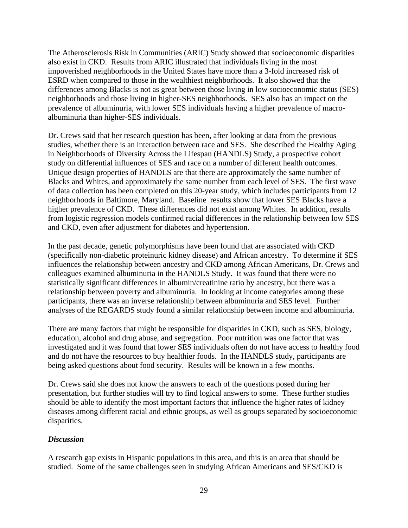The Atherosclerosis Risk in Communities (ARIC) Study showed that socioeconomic disparities also exist in CKD. Results from ARIC illustrated that individuals living in the most impoverished neighborhoods in the United States have more than a 3-fold increased risk of ESRD when compared to those in the wealthiest neighborhoods. It also showed that the differences among Blacks is not as great between those living in low socioeconomic status (SES) neighborhoods and those living in higher-SES neighborhoods. SES also has an impact on the prevalence of albuminuria, with lower SES individuals having a higher prevalence of macroalbuminuria than higher-SES individuals.

Dr. Crews said that her research question has been, after looking at data from the previous studies, whether there is an interaction between race and SES. She described the Healthy Aging in Neighborhoods of Diversity Across the Lifespan (HANDLS) Study, a prospective cohort study on differential influences of SES and race on a number of different health outcomes. Unique design properties of HANDLS are that there are approximately the same number of Blacks and Whites, and approximately the same number from each level of SES. The first wave of data collection has been completed on this 20-year study, which includes participants from 12 neighborhoods in Baltimore, Maryland. Baseline results show that lower SES Blacks have a higher prevalence of CKD. These differences did not exist among Whites. In addition, results from logistic regression models confirmed racial differences in the relationship between low SES and CKD, even after adjustment for diabetes and hypertension.

In the past decade, genetic polymorphisms have been found that are associated with CKD (specifically non-diabetic proteinuric kidney disease) and African ancestry. To determine if SES influences the relationship between ancestry and CKD among African Americans, Dr. Crews and colleagues examined albuminuria in the HANDLS Study. It was found that there were no statistically significant differences in albumin/creatinine ratio by ancestry, but there was a relationship between poverty and albuminuria. In looking at income categories among these participants, there was an inverse relationship between albuminuria and SES level. Further analyses of the REGARDS study found a similar relationship between income and albuminuria.

There are many factors that might be responsible for disparities in CKD, such as SES, biology, education, alcohol and drug abuse, and segregation. Poor nutrition was one factor that was investigated and it was found that lower SES individuals often do not have access to healthy food and do not have the resources to buy healthier foods. In the HANDLS study, participants are being asked questions about food security. Results will be known in a few months.

Dr. Crews said she does not know the answers to each of the questions posed during her presentation, but further studies will try to find logical answers to some. These further studies should be able to identify the most important factors that influence the higher rates of kidney diseases among different racial and ethnic groups, as well as groups separated by socioeconomic disparities.

### *Discussion*

A research gap exists in Hispanic populations in this area, and this is an area that should be studied. Some of the same challenges seen in studying African Americans and SES/CKD is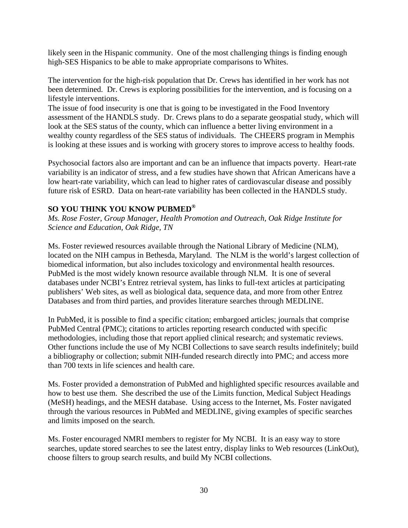likely seen in the Hispanic community. One of the most challenging things is finding enough high-SES Hispanics to be able to make appropriate comparisons to Whites.

The intervention for the high-risk population that Dr. Crews has identified in her work has not been determined. Dr. Crews is exploring possibilities for the intervention, and is focusing on a lifestyle interventions.

The issue of food insecurity is one that is going to be investigated in the Food Inventory assessment of the HANDLS study. Dr. Crews plans to do a separate geospatial study, which will look at the SES status of the county, which can influence a better living environment in a wealthy county regardless of the SES status of individuals. The CHEERS program in Memphis is looking at these issues and is working with grocery stores to improve access to healthy foods.

Psychosocial factors also are important and can be an influence that impacts poverty. Heart-rate variability is an indicator of stress, and a few studies have shown that African Americans have a low heart-rate variability, which can lead to higher rates of cardiovascular disease and possibly future risk of ESRD. Data on heart-rate variability has been collected in the HANDLS study.

# **SO YOU THINK YOU KNOW PUBMED®**

*Ms. Rose Foster, Group Manager, Health Promotion and Outreach, Oak Ridge Institute for Science and Education, Oak Ridge, TN* 

Ms. Foster reviewed resources available through the National Library of Medicine (NLM), located on the NIH campus in Bethesda, Maryland. The NLM is the world's largest collection of biomedical information, but also includes toxicology and environmental health resources. PubMed is the most widely known resource available through NLM. It is one of several databases under NCBI's Entrez retrieval system, has links to full-text articles at participating publishers' Web sites, as well as biological data, sequence data, and more from other Entrez Databases and from third parties, and provides literature searches through MEDLINE.

In PubMed, it is possible to find a specific citation; embargoed articles; journals that comprise PubMed Central (PMC); citations to articles reporting research conducted with specific methodologies, including those that report applied clinical research; and systematic reviews. Other functions include the use of My NCBI Collections to save search results indefinitely; build a bibliography or collection; submit NIH-funded research directly into PMC; and access more than 700 texts in life sciences and health care.

Ms. Foster provided a demonstration of PubMed and highlighted specific resources available and how to best use them. She described the use of the Limits function, Medical Subject Headings (MeSH) headings, and the MESH database. Using access to the Internet, Ms. Foster navigated through the various resources in PubMed and MEDLINE, giving examples of specific searches and limits imposed on the search.

Ms. Foster encouraged NMRI members to register for My NCBI. It is an easy way to store searches, update stored searches to see the latest entry, display links to Web resources (LinkOut), choose filters to group search results, and build My NCBI collections.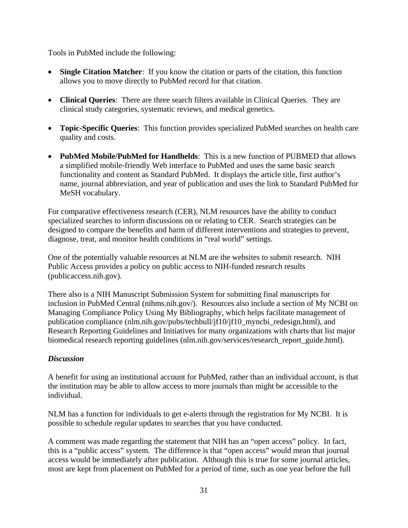Tools in PubMed include the following:

- **Single Citation Matcher**: If you know the citation or parts of the citation, this function allows you to move directly to PubMed record for that citation.
- **Clinical Queries**: There are three search filters available in Clinical Queries. They are clinical study categories, systematic reviews, and medical genetics.
- **Topic-Specific Queries**: This function provides specialized PubMed searches on health care quality and costs.
- **PubMed Mobile/PubMed for Handhelds**: This is a new function of PUBMED that allows a simplified mobile-friendly Web interface to PubMed and uses the same basic search functionality and content as Standard PubMed. It displays the article title, first author's name, journal abbreviation, and year of publication and uses the link to Standard PubMed for MeSH vocabulary.

For comparative effectiveness research (CER), NLM resources have the ability to conduct specialized searches to inform discussions on or relating to CER. Search strategies can be designed to compare the benefits and harm of different interventions and strategies to prevent, diagnose, treat, and monitor health conditions in "real world" settings.

One of the potentially valuable resources at NLM are the websites to submit research. NIH Public Access provides a policy on public access to NIH-funded research results (publicaccess.nih.gov).

There also is a NIH Manuscript Submission System for submitting final manuscripts for inclusion in PubMed Central (nihms.nih.gov/). Resources also include a section of My NCBI on Managing Compliance Policy Using My Bibliography, which helps facilitate management of publication compliance (nlm.nih.gov/pubs/techbull/jf10/jf10\_myncbi\_redesign.html), and Research Reporting Guidelines and Initiatives for many organizations with charts that list major biomedical research reporting guidelines (nlm.nih.gov/services/research\_report\_guide.html).

# *Discussion*

A benefit for using an institutional account for PubMed, rather than an individual account, is that the institution may be able to allow access to more journals than might be accessible to the individual.

NLM has a function for individuals to get e-alerts through the registration for My NCBI. It is possible to schedule regular updates to searches that you have conducted.

A comment was made regarding the statement that NIH has an "open access" policy. In fact, this is a "public access" system. The difference is that "open access" would mean that journal access would be immediately after publication. Although this is true for some journal articles, most are kept from placement on PubMed for a period of time, such as one year before the full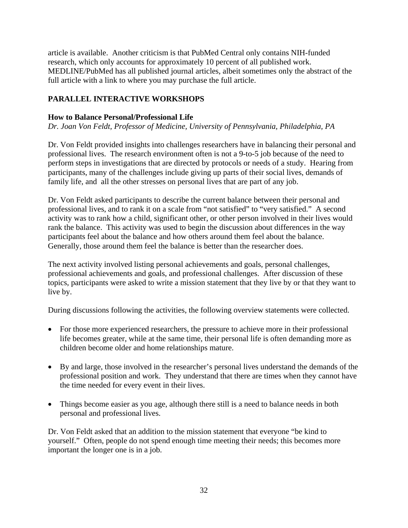article is available. Another criticism is that PubMed Central only contains NIH-funded research, which only accounts for approximately 10 percent of all published work. MEDLINE/PubMed has all published journal articles, albeit sometimes only the abstract of the full article with a link to where you may purchase the full article.

# **PARALLEL INTERACTIVE WORKSHOPS**

### **How to Balance Personal/Professional Life**

*Dr. Joan Von Feldt, Professor of Medicine, University of Pennsylvania, Philadelphia, PA* 

Dr. Von Feldt provided insights into challenges researchers have in balancing their personal and professional lives. The research environment often is not a 9-to-5 job because of the need to perform steps in investigations that are directed by protocols or needs of a study. Hearing from participants, many of the challenges include giving up parts of their social lives, demands of family life, and all the other stresses on personal lives that are part of any job.

Dr. Von Feldt asked participants to describe the current balance between their personal and professional lives, and to rank it on a scale from "not satisfied" to "very satisfied." A second activity was to rank how a child, significant other, or other person involved in their lives would rank the balance. This activity was used to begin the discussion about differences in the way participants feel about the balance and how others around them feel about the balance. Generally, those around them feel the balance is better than the researcher does.

The next activity involved listing personal achievements and goals, personal challenges, professional achievements and goals, and professional challenges. After discussion of these topics, participants were asked to write a mission statement that they live by or that they want to live by.

During discussions following the activities, the following overview statements were collected.

- For those more experienced researchers, the pressure to achieve more in their professional life becomes greater, while at the same time, their personal life is often demanding more as children become older and home relationships mature.
- By and large, those involved in the researcher's personal lives understand the demands of the professional position and work. They understand that there are times when they cannot have the time needed for every event in their lives.
- Things become easier as you age, although there still is a need to balance needs in both personal and professional lives.

Dr. Von Feldt asked that an addition to the mission statement that everyone "be kind to yourself." Often, people do not spend enough time meeting their needs; this becomes more important the longer one is in a job.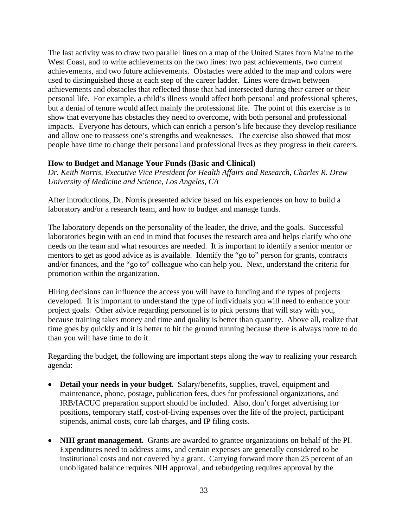The last activity was to draw two parallel lines on a map of the United States from Maine to the West Coast, and to write achievements on the two lines: two past achievements, two current achievements, and two future achievements. Obstacles were added to the map and colors were used to distinguished those at each step of the career ladder. Lines were drawn between achievements and obstacles that reflected those that had intersected during their career or their personal life. For example, a child's illness would affect both personal and professional spheres, but a denial of tenure would affect mainly the professional life. The point of this exercise is to show that everyone has obstacles they need to overcome, with both personal and professional impacts. Everyone has detours, which can enrich a person's life because they develop resiliance and allow one to reassess one's strengths and weaknesses. The exercise also showed that most people have time to change their personal and professional lives as they progress in their careers.

### **How to Budget and Manage Your Funds (Basic and Clinical)**

*Dr. Keith Norris, Executive Vice President for Health Affairs and Research, Charles R. Drew University of Medicine and Science, Los Angeles, CA* 

After introductions, Dr. Norris presented advice based on his experiences on how to build a laboratory and/or a research team, and how to budget and manage funds.

The laboratory depends on the personality of the leader, the drive, and the goals. Successful laboratories begin with an end in mind that focuses the research area and helps clarify who one needs on the team and what resources are needed. It is important to identify a senior mentor or mentors to get as good advice as is available. Identify the "go to" person for grants, contracts and/or finances, and the "go to" colleague who can help you. Next, understand the criteria for promotion within the organization.

Hiring decisions can influence the access you will have to funding and the types of projects developed. It is important to understand the type of individuals you will need to enhance your project goals. Other advice regarding personnel is to pick persons that will stay with you, because training takes money and time and quality is better than quantity. Above all, realize that time goes by quickly and it is better to hit the ground running because there is always more to do than you will have time to do it.

Regarding the budget, the following are important steps along the way to realizing your research agenda:

- **Detail your needs in your budget.** Salary/benefits, supplies, travel, equipment and maintenance, phone, postage, publication fees, dues for professional organizations, and IRB/IACUC preparation support should be included. Also, don't forget advertising for positions, temporary staff, cost-of-living expenses over the life of the project, participant stipends, animal costs, core lab charges, and IP filing costs.
- **NIH grant management.** Grants are awarded to grantee organizations on behalf of the PI. Expenditures need to address aims, and certain expenses are generally considered to be institutional costs and not covered by a grant. Carrying forward more than 25 percent of an unobligated balance requires NIH approval, and rebudgeting requires approval by the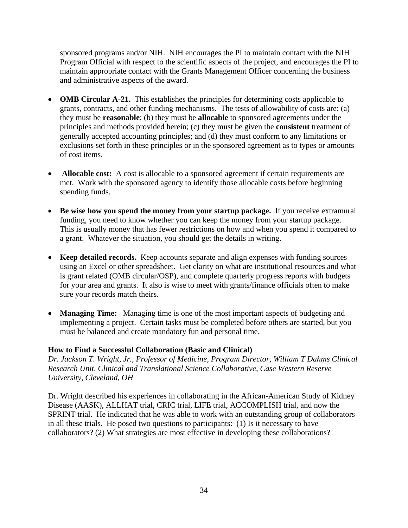sponsored programs and/or NIH. NIH encourages the PI to maintain contact with the NIH Program Official with respect to the scientific aspects of the project, and encourages the PI to maintain appropriate contact with the Grants Management Officer concerning the business and administrative aspects of the award.

- **OMB Circular A-21.** This establishes the principles for determining costs applicable to grants, contracts, and other funding mechanisms. The tests of allowability of costs are: (a) they must be **reasonable**; (b) they must be **allocable** to sponsored agreements under the principles and methods provided herein; (c) they must be given the **consistent** treatment of generally accepted accounting principles; and (d) they must conform to any limitations or exclusions set forth in these principles or in the sponsored agreement as to types or amounts of cost items.
- **Allocable cost:** A cost is allocable to a sponsored agreement if certain requirements are met. Work with the sponsored agency to identify those allocable costs before beginning spending funds.
- **Be wise how you spend the money from your startup package.** If you receive extramural funding, you need to know whether you can keep the money from your startup package. This is usually money that has fewer restrictions on how and when you spend it compared to a grant. Whatever the situation, you should get the details in writing.
- **Keep detailed records.** Keep accounts separate and align expenses with funding sources using an Excel or other spreadsheet. Get clarity on what are institutional resources and what is grant related (OMB circular/OSP), and complete quarterly progress reports with budgets for your area and grants. It also is wise to meet with grants/finance officials often to make sure your records match theirs.
- **Managing Time:** Managing time is one of the most important aspects of budgeting and implementing a project. Certain tasks must be completed before others are started, but you must be balanced and create mandatory fun and personal time.

# **How to Find a Successful Collaboration (Basic and Clinical)**

*Dr. Jackson T. Wright, Jr., Professor of Medicine, Program Director, William T Dahms Clinical Research Unit, Clinical and Translational Science Collaborative, Case Western Reserve University, Cleveland, OH* 

Dr. Wright described his experiences in collaborating in the African-American Study of Kidney Disease (AASK), ALLHAT trial, CRIC trial, LIFE trial, ACCOMPLISH trial, and now the SPRINT trial. He indicated that he was able to work with an outstanding group of collaborators in all these trials. He posed two questions to participants: (1) Is it necessary to have collaborators? (2) What strategies are most effective in developing these collaborations?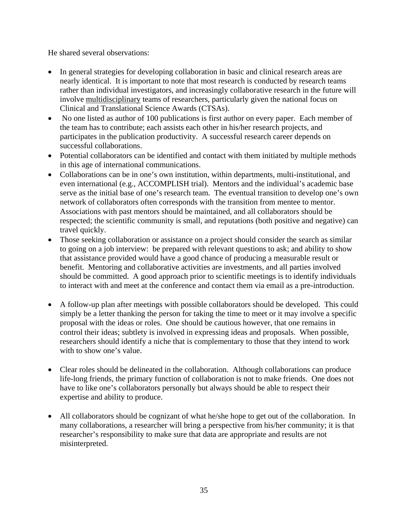He shared several observations:

- In general strategies for developing collaboration in basic and clinical research areas are nearly identical. It is important to note that most research is conducted by research teams rather than individual investigators, and increasingly collaborative research in the future will involve multidisciplinary teams of researchers, particularly given the national focus on Clinical and Translational Science Awards (CTSAs).
- No one listed as author of 100 publications is first author on every paper. Each member of the team has to contribute; each assists each other in his/her research projects, and participates in the publication productivity. A successful research career depends on successful collaborations.
- Potential collaborators can be identified and contact with them initiated by multiple methods in this age of international communications.
- Collaborations can be in one's own institution, within departments, multi-institutional, and even international (e.g., ACCOMPLISH trial). Mentors and the individual's academic base serve as the initial base of one's research team. The eventual transition to develop one's own network of collaborators often corresponds with the transition from mentee to mentor. Associations with past mentors should be maintained, and all collaborators should be respected; the scientific community is small, and reputations (both positive and negative) can travel quickly.
- Those seeking collaboration or assistance on a project should consider the search as similar to going on a job interview: be prepared with relevant questions to ask; and ability to show that assistance provided would have a good chance of producing a measurable result or benefit. Mentoring and collaborative activities are investments, and all parties involved should be committed. A good approach prior to scientific meetings is to identify individuals to interact with and meet at the conference and contact them via email as a pre-introduction.
- A follow-up plan after meetings with possible collaborators should be developed. This could simply be a letter thanking the person for taking the time to meet or it may involve a specific proposal with the ideas or roles. One should be cautious however, that one remains in control their ideas; subtlety is involved in expressing ideas and proposals. When possible, researchers should identify a niche that is complementary to those that they intend to work with to show one's value.
- Clear roles should be delineated in the collaboration. Although collaborations can produce life-long friends, the primary function of collaboration is not to make friends. One does not have to like one's collaborators personally but always should be able to respect their expertise and ability to produce.
- All collaborators should be cognizant of what he/she hope to get out of the collaboration. In many collaborations, a researcher will bring a perspective from his/her community; it is that researcher's responsibility to make sure that data are appropriate and results are not misinterpreted.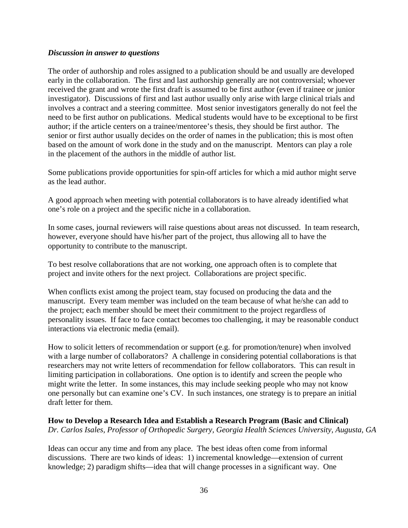#### *Discussion in answer to questions*

The order of authorship and roles assigned to a publication should be and usually are developed early in the collaboration. The first and last authorship generally are not controversial; whoever received the grant and wrote the first draft is assumed to be first author (even if trainee or junior investigator). Discussions of first and last author usually only arise with large clinical trials and involves a contract and a steering committee. Most senior investigators generally do not feel the need to be first author on publications. Medical students would have to be exceptional to be first author; if the article centers on a trainee/mentoree's thesis, they should be first author. The senior or first author usually decides on the order of names in the publication; this is most often based on the amount of work done in the study and on the manuscript. Mentors can play a role in the placement of the authors in the middle of author list.

Some publications provide opportunities for spin-off articles for which a mid author might serve as the lead author.

A good approach when meeting with potential collaborators is to have already identified what one's role on a project and the specific niche in a collaboration.

In some cases, journal reviewers will raise questions about areas not discussed. In team research, however, everyone should have his/her part of the project, thus allowing all to have the opportunity to contribute to the manuscript.

To best resolve collaborations that are not working, one approach often is to complete that project and invite others for the next project. Collaborations are project specific.

When conflicts exist among the project team, stay focused on producing the data and the manuscript. Every team member was included on the team because of what he/she can add to the project; each member should be meet their commitment to the project regardless of personality issues. If face to face contact becomes too challenging, it may be reasonable conduct interactions via electronic media (email).

How to solicit letters of recommendation or support (e.g. for promotion/tenure) when involved with a large number of collaborators? A challenge in considering potential collaborations is that researchers may not write letters of recommendation for fellow collaborators. This can result in limiting participation in collaborations. One option is to identify and screen the people who might write the letter. In some instances, this may include seeking people who may not know one personally but can examine one's CV. In such instances, one strategy is to prepare an initial draft letter for them.

### **How to Develop a Research Idea and Establish a Research Program (Basic and Clinical)**  *Dr. Carlos Isales, Professor of Orthopedic Surgery, Georgia Health Sciences University, Augusta, GA*

Ideas can occur any time and from any place. The best ideas often come from informal discussions. There are two kinds of ideas: 1) incremental knowledge—extension of current knowledge; 2) paradigm shifts—idea that will change processes in a significant way. One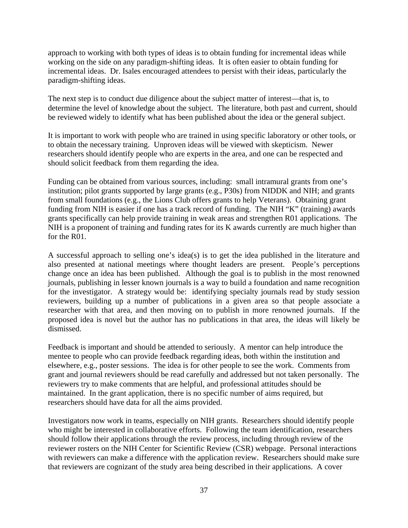approach to working with both types of ideas is to obtain funding for incremental ideas while working on the side on any paradigm-shifting ideas. It is often easier to obtain funding for incremental ideas. Dr. Isales encouraged attendees to persist with their ideas, particularly the paradigm-shifting ideas.

The next step is to conduct due diligence about the subject matter of interest—that is, to determine the level of knowledge about the subject. The literature, both past and current, should be reviewed widely to identify what has been published about the idea or the general subject.

It is important to work with people who are trained in using specific laboratory or other tools, or to obtain the necessary training. Unproven ideas will be viewed with skepticism. Newer researchers should identify people who are experts in the area, and one can be respected and should solicit feedback from them regarding the idea.

Funding can be obtained from various sources, including: small intramural grants from one's institution; pilot grants supported by large grants (e.g., P30s) from NIDDK and NIH; and grants from small foundations (e.g., the Lions Club offers grants to help Veterans). Obtaining grant funding from NIH is easier if one has a track record of funding. The NIH "K" (training) awards grants specifically can help provide training in weak areas and strengthen R01 applications. The NIH is a proponent of training and funding rates for its K awards currently are much higher than for the R01.

A successful approach to selling one's idea(s) is to get the idea published in the literature and also presented at national meetings where thought leaders are present. People's perceptions change once an idea has been published. Although the goal is to publish in the most renowned journals, publishing in lesser known journals is a way to build a foundation and name recognition for the investigator. A strategy would be: identifying specialty journals read by study session reviewers, building up a number of publications in a given area so that people associate a researcher with that area, and then moving on to publish in more renowned journals. If the proposed idea is novel but the author has no publications in that area, the ideas will likely be dismissed.

Feedback is important and should be attended to seriously. A mentor can help introduce the mentee to people who can provide feedback regarding ideas, both within the institution and elsewhere, e.g., poster sessions. The idea is for other people to see the work. Comments from grant and journal reviewers should be read carefully and addressed but not taken personally. The reviewers try to make comments that are helpful, and professional attitudes should be maintained. In the grant application, there is no specific number of aims required, but researchers should have data for all the aims provided.

Investigators now work in teams, especially on NIH grants. Researchers should identify people who might be interested in collaborative efforts. Following the team identification, researchers should follow their applications through the review process, including through review of the reviewer rosters on the NIH Center for Scientific Review (CSR) webpage. Personal interactions with reviewers can make a difference with the application review. Researchers should make sure that reviewers are cognizant of the study area being described in their applications. A cover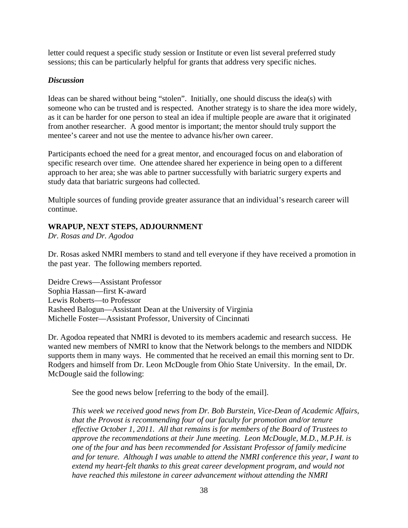letter could request a specific study session or Institute or even list several preferred study sessions; this can be particularly helpful for grants that address very specific niches.

### *Discussion*

Ideas can be shared without being "stolen". Initially, one should discuss the idea(s) with someone who can be trusted and is respected. Another strategy is to share the idea more widely, as it can be harder for one person to steal an idea if multiple people are aware that it originated from another researcher. A good mentor is important; the mentor should truly support the mentee's career and not use the mentee to advance his/her own career.

Participants echoed the need for a great mentor, and encouraged focus on and elaboration of specific research over time. One attendee shared her experience in being open to a different approach to her area; she was able to partner successfully with bariatric surgery experts and study data that bariatric surgeons had collected.

Multiple sources of funding provide greater assurance that an individual's research career will continue.

# **WRAPUP, NEXT STEPS, ADJOURNMENT**

*Dr. Rosas and Dr. Agodoa* 

Dr. Rosas asked NMRI members to stand and tell everyone if they have received a promotion in the past year. The following members reported.

Deidre Crews—Assistant Professor Sophia Hassan—first K-award Lewis Roberts—to Professor Rasheed Balogun—Assistant Dean at the University of Virginia Michelle Foster—Assistant Professor, University of Cincinnati

Dr. Agodoa repeated that NMRI is devoted to its members academic and research success. He wanted new members of NMRI to know that the Network belongs to the members and NIDDK supports them in many ways. He commented that he received an email this morning sent to Dr. Rodgers and himself from Dr. Leon McDougle from Ohio State University. In the email, Dr. McDougle said the following:

See the good news below [referring to the body of the email].

*This week we received good news from Dr. Bob Burstein, Vice-Dean of Academic Affairs, that the Provost is recommending four of our faculty for promotion and/or tenure effective October 1, 2011. All that remains is for members of the Board of Trustees to approve the recommendations at their June meeting. Leon McDougle, M.D., M.P.H. is one of the four and has been recommended for Assistant Professor of family medicine and for tenure. Although I was unable to attend the NMRI conference this year, I want to*  extend my heart-felt thanks to this great career development program, and would not *have reached this milestone in career advancement without attending the NMRI*